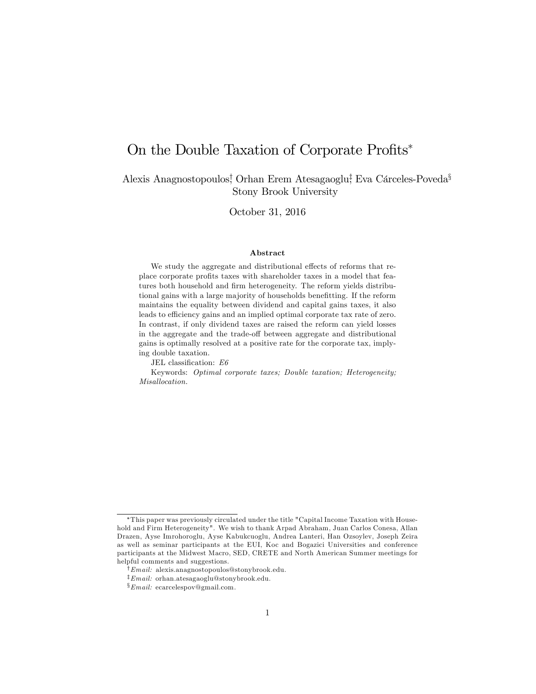# On the Double Taxation of Corporate Profits<sup>\*</sup>

Alexis Anagnostopoulos! Orhan Erem Atesagaoglu! Eva Cárceles-Poveda<sup>§</sup> Stony Brook University

October 31, 2016

#### Abstract

We study the aggregate and distributional effects of reforms that replace corporate profits taxes with shareholder taxes in a model that features both household and firm heterogeneity. The reform yields distributional gains with a large majority of households benefitting. If the reform maintains the equality between dividend and capital gains taxes, it also leads to efficiency gains and an implied optimal corporate tax rate of zero. In contrast, if only dividend taxes are raised the reform can yield losses in the aggregate and the trade-off between aggregate and distributional gains is optimally resolved at a positive rate for the corporate tax, implying double taxation.

JEL classification:  $E6$ 

Keywords: Optimal corporate taxes; Double taxation; Heterogeneity; Misallocation.

This paper was previously circulated under the title "Capital Income Taxation with Household and Firm Heterogeneity". We wish to thank Arpad Abraham, Juan Carlos Conesa, Allan Drazen, Ayse Imrohoroglu, Ayse Kabukcuoglu, Andrea Lanteri, Han Ozsoylev, Joseph Zeira as well as seminar participants at the EUI, Koc and Bogazici Universities and conference participants at the Midwest Macro, SED, CRETE and North American Summer meetings for helpful comments and suggestions.

<sup>&</sup>lt;sup>†</sup> *Email*: alexis.anagnostopoulos@stonybrook.edu.

 $\frac{1}{2}$ *Email:* orhan.atesagaoglu@stonybrook.edu.

 $\S_{Email:}$  ecarcelespov@gmail.com.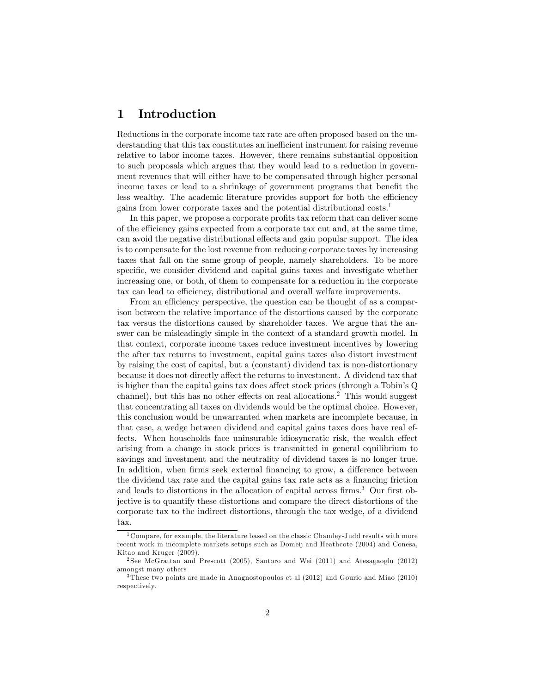# 1 Introduction

Reductions in the corporate income tax rate are often proposed based on the understanding that this tax constitutes an inefficient instrument for raising revenue relative to labor income taxes. However, there remains substantial opposition to such proposals which argues that they would lead to a reduction in government revenues that will either have to be compensated through higher personal income taxes or lead to a shrinkage of government programs that benefit the less wealthy. The academic literature provides support for both the efficiency gains from lower corporate taxes and the potential distributional costs.<sup>1</sup>

In this paper, we propose a corporate profits tax reform that can deliver some of the efficiency gains expected from a corporate tax cut and, at the same time, can avoid the negative distributional effects and gain popular support. The idea is to compensate for the lost revenue from reducing corporate taxes by increasing taxes that fall on the same group of people, namely shareholders. To be more specific, we consider dividend and capital gains taxes and investigate whether increasing one, or both, of them to compensate for a reduction in the corporate tax can lead to efficiency, distributional and overall welfare improvements.

From an efficiency perspective, the question can be thought of as a comparison between the relative importance of the distortions caused by the corporate tax versus the distortions caused by shareholder taxes. We argue that the answer can be misleadingly simple in the context of a standard growth model. In that context, corporate income taxes reduce investment incentives by lowering the after tax returns to investment, capital gains taxes also distort investment by raising the cost of capital, but a (constant) dividend tax is non-distortionary because it does not directly affect the returns to investment. A dividend tax that is higher than the capital gains tax does affect stock prices (through a Tobin's  $Q$ channel), but this has no other effects on real allocations.<sup>2</sup> This would suggest that concentrating all taxes on dividends would be the optimal choice. However, this conclusion would be unwarranted when markets are incomplete because, in that case, a wedge between dividend and capital gains taxes does have real effects. When households face uninsurable idiosyncratic risk, the wealth effect arising from a change in stock prices is transmitted in general equilibrium to savings and investment and the neutrality of dividend taxes is no longer true. In addition, when firms seek external financing to grow, a difference between the dividend tax rate and the capital gains tax rate acts as a financing friction and leads to distortions in the allocation of capital across firms.<sup>3</sup> Our first objective is to quantify these distortions and compare the direct distortions of the corporate tax to the indirect distortions, through the tax wedge, of a dividend tax.

<sup>&</sup>lt;sup>1</sup> Compare, for example, the literature based on the classic Chamley-Judd results with more recent work in incomplete markets setups such as Domeij and Heathcote (2004) and Conesa, Kitao and Kruger (2009).

<sup>&</sup>lt;sup>2</sup> See McGrattan and Prescott (2005), Santoro and Wei (2011) and Atesagaoglu (2012) amongst many others

<sup>3</sup> These two points are made in Anagnostopoulos et al (2012) and Gourio and Miao (2010) respectively.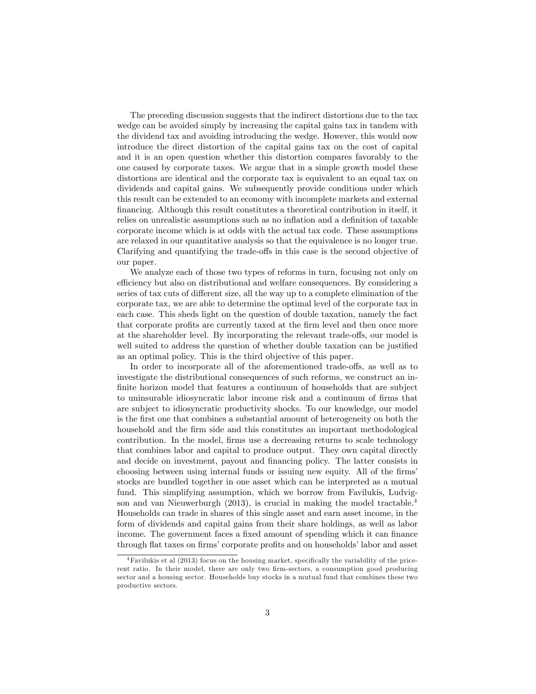The preceding discussion suggests that the indirect distortions due to the tax wedge can be avoided simply by increasing the capital gains tax in tandem with the dividend tax and avoiding introducing the wedge. However, this would now introduce the direct distortion of the capital gains tax on the cost of capital and it is an open question whether this distortion compares favorably to the one caused by corporate taxes. We argue that in a simple growth model these distortions are identical and the corporate tax is equivalent to an equal tax on dividends and capital gains. We subsequently provide conditions under which this result can be extended to an economy with incomplete markets and external Önancing. Although this result constitutes a theoretical contribution in itself, it relies on unrealistic assumptions such as no inflation and a definition of taxable corporate income which is at odds with the actual tax code. These assumptions are relaxed in our quantitative analysis so that the equivalence is no longer true. Clarifying and quantifying the trade-offs in this case is the second objective of our paper.

We analyze each of those two types of reforms in turn, focusing not only on efficiency but also on distributional and welfare consequences. By considering a series of tax cuts of different size, all the way up to a complete elimination of the corporate tax, we are able to determine the optimal level of the corporate tax in each case. This sheds light on the question of double taxation, namely the fact that corporate profits are currently taxed at the firm level and then once more at the shareholder level. By incorporating the relevant trade-offs, our model is well suited to address the question of whether double taxation can be justified as an optimal policy. This is the third objective of this paper.

In order to incorporate all of the aforementioned trade-offs, as well as to investigate the distributional consequences of such reforms, we construct an infinite horizon model that features a continuum of households that are subject to uninsurable idiosyncratic labor income risk and a continuum of Örms that are subject to idiosyncratic productivity shocks. To our knowledge, our model is the first one that combines a substantial amount of heterogeneity on both the household and the firm side and this constitutes an important methodological contribution. In the model, firms use a decreasing returns to scale technology that combines labor and capital to produce output. They own capital directly and decide on investment, payout and financing policy. The latter consists in choosing between using internal funds or issuing new equity. All of the firms' stocks are bundled together in one asset which can be interpreted as a mutual fund. This simplifying assumption, which we borrow from Favilukis, Ludvigson and van Nieuwerburgh (2013), is crucial in making the model tractable.<sup>4</sup> Households can trade in shares of this single asset and earn asset income, in the form of dividends and capital gains from their share holdings, as well as labor income. The government faces a fixed amount of spending which it can finance through flat taxes on firms' corporate profits and on households' labor and asset

 $4$ Favilukis et al (2013) focus on the housing market, specifically the variability of the pricerent ratio. In their model, there are only two firm-sectors, a consumption good producing sector and a housing sector. Households buy stocks in a mutual fund that combines these two productive sectors.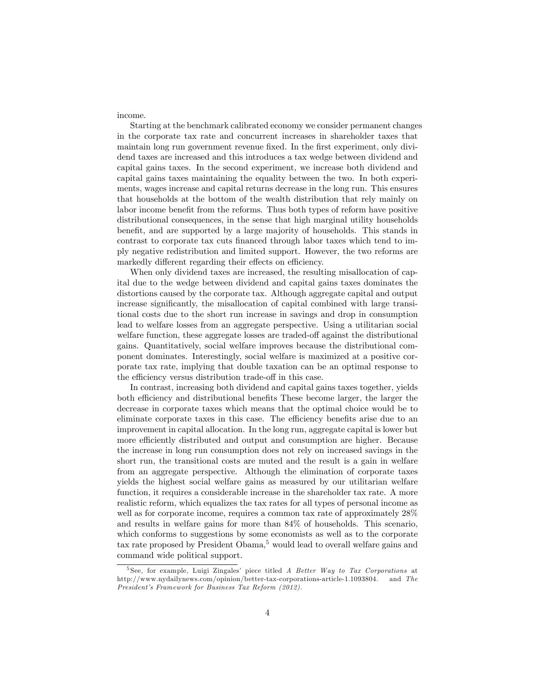income.

Starting at the benchmark calibrated economy we consider permanent changes in the corporate tax rate and concurrent increases in shareholder taxes that maintain long run government revenue fixed. In the first experiment, only dividend taxes are increased and this introduces a tax wedge between dividend and capital gains taxes. In the second experiment, we increase both dividend and capital gains taxes maintaining the equality between the two. In both experiments, wages increase and capital returns decrease in the long run. This ensures that households at the bottom of the wealth distribution that rely mainly on labor income benefit from the reforms. Thus both types of reform have positive distributional consequences, in the sense that high marginal utility households benefit, and are supported by a large majority of households. This stands in contrast to corporate tax cuts financed through labor taxes which tend to imply negative redistribution and limited support. However, the two reforms are markedly different regarding their effects on efficiency.

When only dividend taxes are increased, the resulting misallocation of capital due to the wedge between dividend and capital gains taxes dominates the distortions caused by the corporate tax. Although aggregate capital and output increase significantly, the misallocation of capital combined with large transitional costs due to the short run increase in savings and drop in consumption lead to welfare losses from an aggregate perspective. Using a utilitarian social welfare function, these aggregate losses are traded-off against the distributional gains. Quantitatively, social welfare improves because the distributional component dominates. Interestingly, social welfare is maximized at a positive corporate tax rate, implying that double taxation can be an optimal response to the efficiency versus distribution trade-off in this case.

In contrast, increasing both dividend and capital gains taxes together, yields both efficiency and distributional benefits These become larger, the larger the decrease in corporate taxes which means that the optimal choice would be to eliminate corporate taxes in this case. The efficiency benefits arise due to an improvement in capital allocation. In the long run, aggregate capital is lower but more efficiently distributed and output and consumption are higher. Because the increase in long run consumption does not rely on increased savings in the short run, the transitional costs are muted and the result is a gain in welfare from an aggregate perspective. Although the elimination of corporate taxes yields the highest social welfare gains as measured by our utilitarian welfare function, it requires a considerable increase in the shareholder tax rate. A more realistic reform, which equalizes the tax rates for all types of personal income as well as for corporate income, requires a common tax rate of approximately 28% and results in welfare gains for more than 84% of households. This scenario, which conforms to suggestions by some economists as well as to the corporate tax rate proposed by President Obama,<sup>5</sup> would lead to overall welfare gains and command wide political support.

 $5$ See, for example, Luigi Zingales' piece titled A Better Way to Tax Corporations at http://www.nydailynews.com/opinion/better-tax-corporations-article-1.1093804. and The President's Framework for Business Tax Reform (2012).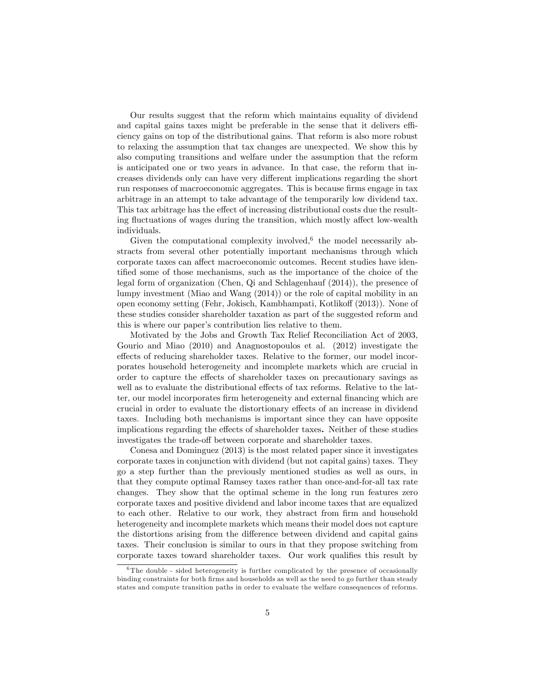Our results suggest that the reform which maintains equality of dividend and capital gains taxes might be preferable in the sense that it delivers efficiency gains on top of the distributional gains. That reform is also more robust to relaxing the assumption that tax changes are unexpected. We show this by also computing transitions and welfare under the assumption that the reform is anticipated one or two years in advance. In that case, the reform that increases dividends only can have very different implications regarding the short run responses of macroeconomic aggregates. This is because firms engage in tax arbitrage in an attempt to take advantage of the temporarily low dividend tax. This tax arbitrage has the effect of increasing distributional costs due the resulting fluctuations of wages during the transition, which mostly affect low-wealth individuals.

Given the computational complexity involved,  $6$  the model necessarily abstracts from several other potentially important mechanisms through which corporate taxes can affect macroeconomic outcomes. Recent studies have identified some of those mechanisms, such as the importance of the choice of the legal form of organization (Chen, Qi and Schlagenhauf (2014)), the presence of lumpy investment (Miao and Wang (2014)) or the role of capital mobility in an open economy setting (Fehr, Jokisch, Kambhampati, Kotlikoff (2013)). None of these studies consider shareholder taxation as part of the suggested reform and this is where our paper's contribution lies relative to them.

Motivated by the Jobs and Growth Tax Relief Reconciliation Act of 2003, Gourio and Miao (2010) and Anagnostopoulos et al. (2012) investigate the effects of reducing shareholder taxes. Relative to the former, our model incorporates household heterogeneity and incomplete markets which are crucial in order to capture the effects of shareholder taxes on precautionary savings as well as to evaluate the distributional effects of tax reforms. Relative to the latter, our model incorporates firm heterogeneity and external financing which are crucial in order to evaluate the distortionary effects of an increase in dividend taxes. Including both mechanisms is important since they can have opposite implications regarding the effects of shareholder taxes. Neither of these studies investigates the trade-off between corporate and shareholder taxes.

Conesa and Dominguez (2013) is the most related paper since it investigates corporate taxes in conjunction with dividend (but not capital gains) taxes. They go a step further than the previously mentioned studies as well as ours, in that they compute optimal Ramsey taxes rather than once-and-for-all tax rate changes. They show that the optimal scheme in the long run features zero corporate taxes and positive dividend and labor income taxes that are equalized to each other. Relative to our work, they abstract from firm and household heterogeneity and incomplete markets which means their model does not capture the distortions arising from the difference between dividend and capital gains taxes. Their conclusion is similar to ours in that they propose switching from corporate taxes toward shareholder taxes. Our work qualifies this result by

 $6$ The double - sided heterogeneity is further complicated by the presence of occasionally binding constraints for both firms and households as well as the need to go further than steady states and compute transition paths in order to evaluate the welfare consequences of reforms.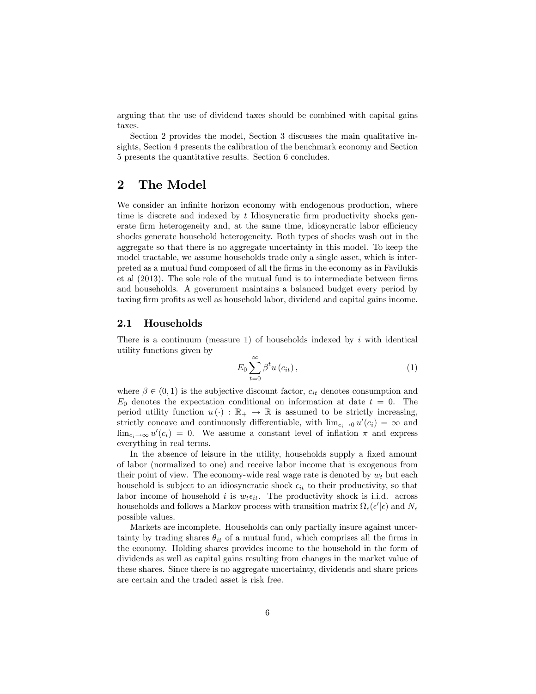arguing that the use of dividend taxes should be combined with capital gains taxes.

Section 2 provides the model, Section 3 discusses the main qualitative insights, Section 4 presents the calibration of the benchmark economy and Section 5 presents the quantitative results. Section 6 concludes.

# 2 The Model

We consider an infinite horizon economy with endogenous production, where time is discrete and indexed by  $t$  Idiosyncratic firm productivity shocks generate firm heterogeneity and, at the same time, idiosyncratic labor efficiency shocks generate household heterogeneity. Both types of shocks wash out in the aggregate so that there is no aggregate uncertainty in this model. To keep the model tractable, we assume households trade only a single asset, which is interpreted as a mutual fund composed of all the Örms in the economy as in Favilukis et al  $(2013)$ . The sole role of the mutual fund is to intermediate between firms and households. A government maintains a balanced budget every period by taxing firm profits as well as household labor, dividend and capital gains income.

#### 2.1 Households

There is a continuum (measure 1) of households indexed by  $i$  with identical utility functions given by

$$
E_0 \sum_{t=0}^{\infty} \beta^t u(c_{it}), \qquad (1)
$$

where  $\beta \in (0,1)$  is the subjective discount factor,  $c_{it}$  denotes consumption and  $E_0$  denotes the expectation conditional on information at date  $t = 0$ . The period utility function  $u(\cdot) : \mathbb{R}_+ \to \mathbb{R}$  is assumed to be strictly increasing, strictly concave and continuously differentiable, with  $\lim_{c_i \to 0} u'(c_i) = \infty$  and  $\lim_{c_i \to \infty} u'(c_i) = 0$ . We assume a constant level of inflation  $\pi$  and express everything in real terms.

In the absence of leisure in the utility, households supply a fixed amount of labor (normalized to one) and receive labor income that is exogenous from their point of view. The economy-wide real wage rate is denoted by  $w_t$  but each household is subject to an idiosyncratic shock  $\epsilon_{it}$  to their productivity, so that labor income of household i is  $w_t \epsilon_{it}$ . The productivity shock is i.i.d. across households and follows a Markov process with transition matrix  $\Omega_{\epsilon}(\epsilon'|\epsilon)$  and  $N_{\epsilon}$ possible values.

Markets are incomplete. Households can only partially insure against uncertainty by trading shares  $\theta_{it}$  of a mutual fund, which comprises all the firms in the economy. Holding shares provides income to the household in the form of dividends as well as capital gains resulting from changes in the market value of these shares. Since there is no aggregate uncertainty, dividends and share prices are certain and the traded asset is risk free.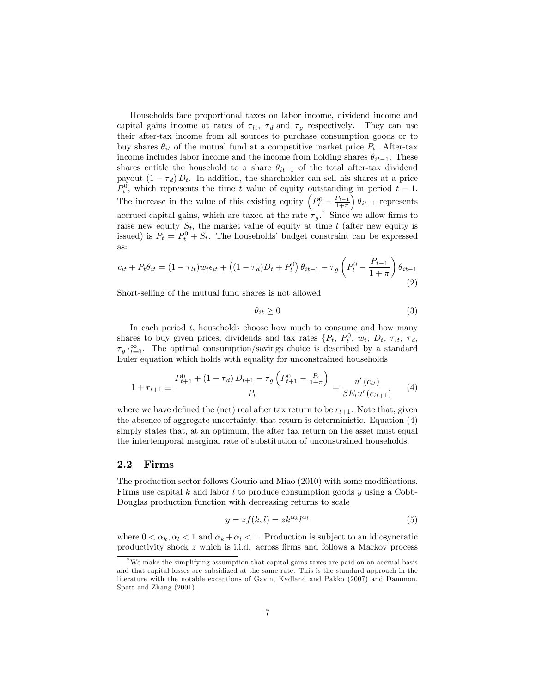Households face proportional taxes on labor income, dividend income and capital gains income at rates of  $\tau_{lt}$ ,  $\tau_d$  and  $\tau_q$  respectively. They can use their after-tax income from all sources to purchase consumption goods or to buy shares  $\theta_{it}$  of the mutual fund at a competitive market price  $P_t$ . After-tax income includes labor income and the income from holding shares  $\theta_{it-1}$ . These shares entitle the household to a share  $\theta_{it-1}$  of the total after-tax dividend payout  $(1 - \tau_d) D_t$ . In addition, the shareholder can sell his shares at a price  $P_t^0$ , which represents the time t value of equity outstanding in period  $t-1$ . The increase in the value of this existing equity  $\left(P_t^0 - \frac{P_{t-1}}{1+\pi}\right)$  $\left( \theta_{it-1} \right)$  represents accrued capital gains, which are taxed at the rate  $\tau_g$ .<sup>7</sup> Since we allow firms to raise new equity  $S_t$ , the market value of equity at time t (after new equity is issued) is  $P_t = P_t^0 + S_t$ . The households' budget constraint can be expressed as:

$$
c_{it} + P_t \theta_{it} = (1 - \tau_{lt}) w_t \epsilon_{it} + ((1 - \tau_d)D_t + P_t^0) \theta_{it-1} - \tau_g \left( P_t^0 - \frac{P_{t-1}}{1 + \pi} \right) \theta_{it-1}
$$
\n(2)

Short-selling of the mutual fund shares is not allowed

$$
\theta_{it} \ge 0 \tag{3}
$$

In each period  $t$ , households choose how much to consume and how many shares to buy given prices, dividends and tax rates  $\{P_t, P_t^0, w_t, D_t, \tau_t, \tau_d, \tau_d\}$  $\tau_g$ <sub>t=0</sub>. The optimal consumption/savings choice is described by a standard Euler equation which holds with equality for unconstrained households

$$
1 + r_{t+1} \equiv \frac{P_{t+1}^{0} + (1 - \tau_d) D_{t+1} - \tau_g \left( P_{t+1}^{0} - \frac{P_t}{1 + \pi} \right)}{P_t} = \frac{u'(c_{it})}{\beta E_t u'(c_{it+1})} \tag{4}
$$

where we have defined the (net) real after tax return to be  $r_{t+1}$ . Note that, given the absence of aggregate uncertainty, that return is deterministic. Equation (4) simply states that, at an optimum, the after tax return on the asset must equal the intertemporal marginal rate of substitution of unconstrained households.

#### 2.2 Firms

The production sector follows Gourio and Miao (2010) with some modifications. Firms use capital k and labor l to produce consumption goods y using a Cobb-Douglas production function with decreasing returns to scale

$$
y = zf(k, l) = zk^{\alpha_k}l^{\alpha_l}
$$
\n<sup>(5)</sup>

where  $0 < \alpha_k, \alpha_l < 1$  and  $\alpha_k + \alpha_l < 1$ . Production is subject to an idiosyncratic productivity shock  $z$  which is i.i.d. across firms and follows a Markov process

<sup>7</sup>We make the simplifying assumption that capital gains taxes are paid on an accrual basis and that capital losses are subsidized at the same rate. This is the standard approach in the literature with the notable exceptions of Gavin, Kydland and Pakko (2007) and Dammon, Spatt and Zhang (2001).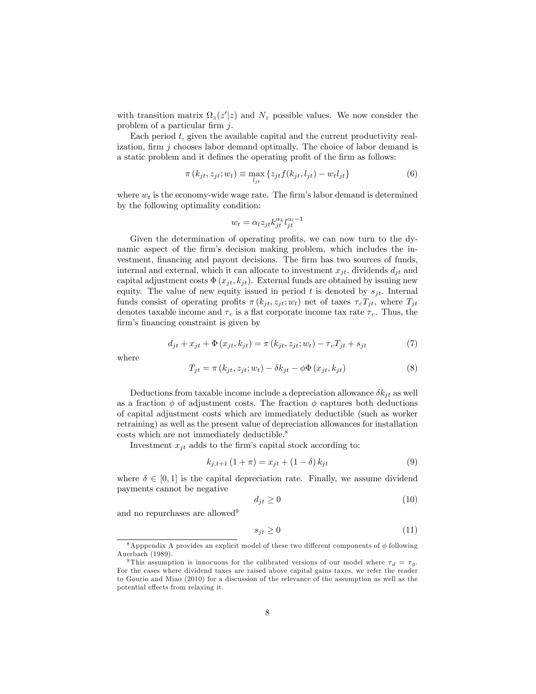with transition matrix  $\Omega_z(z'|z)$  and  $N_z$  possible values. We now consider the problem of a particular firm  $j$ .

Each period  $t$ , given the available capital and the current productivity realization, firm  $j$  chooses labor demand optimally. The choice of labor demand is a static problem and it defines the operating profit of the firm as follows:

$$
\pi(k_{jt}, z_{jt}; w_t) \equiv \max_{l_{jt}} \left\{ z_{jt} f(k_{jt}, l_{jt}) - w_t l_{jt} \right\} \tag{6}
$$

where  $w_t$  is the economy-wide wage rate. The firm's labor demand is determined by the following optimality condition:

$$
w_t = \alpha_l z_{jt} k_{jt}^{\alpha_k} l_{jt}^{\alpha_l - 1}
$$

Given the determination of operating profits, we can now turn to the dynamic aspect of the firm's decision making problem, which includes the investment, financing and payout decisions. The firm has two sources of funds, internal and external, which it can allocate to investment  $x_{it}$ , dividends  $d_{it}$  and capital adjustment costs  $\Phi(x_{jt}, k_{jt})$ . External funds are obtained by issuing new equity. The value of new equity issued in period t is denoted by  $s_{it}$ . Internal funds consist of operating profits  $\pi(k_{it}, z_{it}; w_t)$  net of taxes  $\tau_c T_{it}$ , where  $T_{it}$ denotes taxable income and  $\tau_c$  is a flat corporate income tax rate  $\tau_c$ . Thus, the firm's financing constraint is given by

$$
d_{jt} + x_{jt} + \Phi(x_{jt}, k_{jt}) = \pi(k_{jt}, z_{jt}; w_t) - \tau_c T_{jt} + s_{jt}
$$
\n<sup>(7)</sup>

where

$$
T_{jt} = \pi (k_{jt}, z_{jt}; w_t) - \delta k_{jt} - \phi \Phi (x_{jt}, k_{jt})
$$
\n(8)

Deductions from taxable income include a depreciation allowance  $\delta k_{it}$  as well as a fraction  $\phi$  of adjustment costs. The fraction  $\phi$  captures both deductions of capital adjustment costs which are immediately deductible (such as worker retraining) as well as the present value of depreciation allowances for installation costs which are not immediately deductible.<sup>8</sup>

Investment  $x_{jt}$  adds to the firm's capital stock according to:

$$
k_{j,t+1} (1 + \pi) = x_{jt} + (1 - \delta) k_{jt}
$$
\n(9)

where  $\delta \in [0, 1]$  is the capital depreciation rate. Finally, we assume dividend payments cannot be negative

$$
d_{jt} \ge 0\tag{10}
$$

and no repurchases are allowed<sup>9</sup>

$$
s_{jt} \ge 0\tag{11}
$$

<sup>&</sup>lt;sup>8</sup>Apppendix A provides an explicit model of these two different components of  $\phi$  following Auerbach (1989).

<sup>&</sup>lt;sup>9</sup>This assumption is innocuous for the calibrated versions of our model where  $\tau_d = \tau_q$ . For the cases where dividend taxes are raised above capital gains taxes, we refer the reader to Gourio and Miao (2010) for a discussion of the relevance of the assumption as well as the potential effects from relaxing it.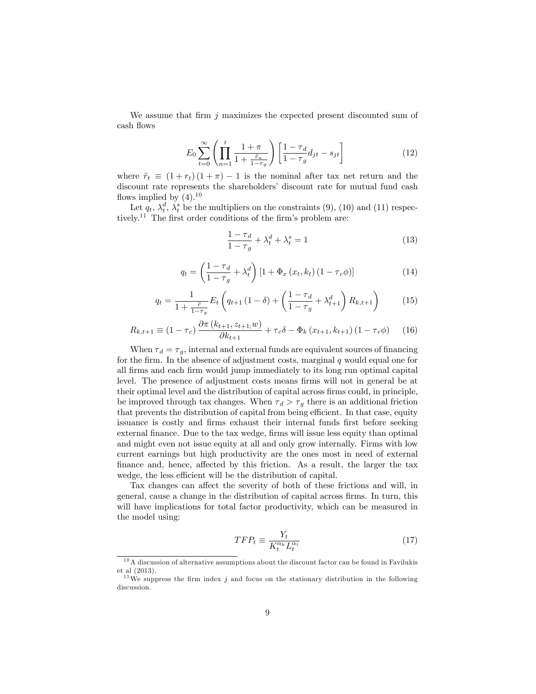We assume that firm  $j$  maximizes the expected present discounted sum of cash flows

$$
E_0 \sum_{t=0}^{\infty} \left( \prod_{n=1}^{t} \frac{1+\pi}{1+\frac{\tilde{r}_n}{1-\tau_g}} \right) \left[ \frac{1-\tau_d}{1-\tau_g} d_{jt} - s_{jt} \right]
$$
(12)

where  $\tilde{r}_t \equiv (1 + r_t) (1 + \pi) - 1$  is the nominal after tax net return and the discount rate represents the shareholders' discount rate for mutual fund cash flows implied by  $(4).^{10}$ 

Let  $q_t$ ,  $\lambda_t^d$ ,  $\lambda_t^s$  be the multipliers on the constraints (9), (10) and (11) respectively.<sup>11</sup> The first order conditions of the firm's problem are:

$$
\frac{1-\tau_d}{1-\tau_g} + \lambda_t^d + \lambda_t^s = 1\tag{13}
$$

$$
q_t = \left(\frac{1-\tau_d}{1-\tau_g} + \lambda_t^d\right) \left[1+\Phi_x\left(x_t, k_t\right)\left(1-\tau_c\phi\right)\right]
$$
\n(14)

$$
q_t = \frac{1}{1 + \frac{\tilde{r}}{1 - \tau_g}} E_t \left( q_{t+1} \left( 1 - \delta \right) + \left( \frac{1 - \tau_d}{1 - \tau_g} + \lambda_{t+1}^d \right) R_{k, t+1} \right) \tag{15}
$$

$$
R_{k,t+1} \equiv (1 - \tau_c) \frac{\partial \pi (k_{t+1}, z_{t+1}; w)}{\partial k_{t+1}} + \tau_c \delta - \Phi_k (x_{t+1}, k_{t+1}) (1 - \tau_c \phi) \tag{16}
$$

When  $\tau_d = \tau_g$ , internal and external funds are equivalent sources of financing for the firm. In the absence of adjustment costs, marginal  $q$  would equal one for all firms and each firm would jump immediately to its long run optimal capital level. The presence of adjustment costs means firms will not in general be at their optimal level and the distribution of capital across firms could, in principle, be improved through tax changes. When  $\tau_d > \tau_g$  there is an additional friction that prevents the distribution of capital from being efficient. In that case, equity issuance is costly and firms exhaust their internal funds first before seeking external finance. Due to the tax wedge, firms will issue less equity than optimal and might even not issue equity at all and only grow internally. Firms with low current earnings but high productivity are the ones most in need of external finance and, hence, affected by this friction. As a result, the larger the tax wedge, the less efficient will be the distribution of capital.

Tax changes can affect the severity of both of these frictions and will, in general, cause a change in the distribution of capital across firms. In turn, this will have implications for total factor productivity, which can be measured in the model using:

$$
TFP_t \equiv \frac{Y_t}{K_t^{\alpha_k} L_t^{\alpha_l}}\tag{17}
$$

 $10$ A discussion of alternative assumptions about the discount factor can be found in Favilukis et al (2013).

<sup>&</sup>lt;sup>11</sup>We suppress the firm index j and focus on the stationary distribution in the following discussion.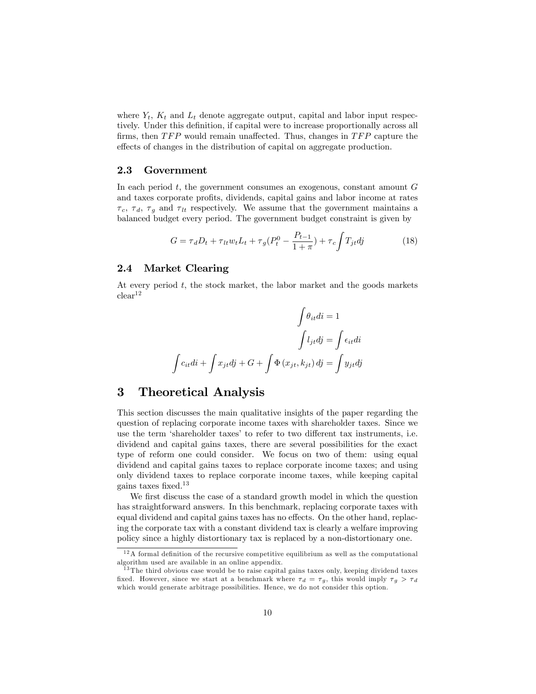where  $Y_t$ ,  $K_t$  and  $L_t$  denote aggregate output, capital and labor input respectively. Under this definition, if capital were to increase proportionally across all firms, then  $TFP$  would remain unaffected. Thus, changes in  $TFP$  capture the effects of changes in the distribution of capital on aggregate production.

#### 2.3 Government

In each period  $t$ , the government consumes an exogenous, constant amount  $G$ and taxes corporate profits, dividends, capital gains and labor income at rates  $\tau_c$ ,  $\tau_d$ ,  $\tau_g$  and  $\tau_{lt}$  respectively. We assume that the government maintains a balanced budget every period. The government budget constraint is given by

$$
G = \tau_d D_t + \tau_{lt} w_t L_t + \tau_g (P_t^0 - \frac{P_{t-1}}{1+\pi}) + \tau_c \int T_{jt} dj \tag{18}
$$

#### 2.4 Market Clearing

At every period  $t$ , the stock market, the labor market and the goods markets  $clear<sup>12</sup>$ 

$$
\int \theta_{it} di = 1
$$

$$
\int l_{jt} dj = \int \epsilon_{it} di
$$

$$
\int c_{it} di + \int x_{jt} dj + G + \int \Phi(x_{jt}, k_{jt}) dj = \int y_{jt} dj
$$

## 3 Theoretical Analysis

This section discusses the main qualitative insights of the paper regarding the question of replacing corporate income taxes with shareholder taxes. Since we use the term 'shareholder taxes' to refer to two different tax instruments, i.e. dividend and capital gains taxes, there are several possibilities for the exact type of reform one could consider. We focus on two of them: using equal dividend and capital gains taxes to replace corporate income taxes; and using only dividend taxes to replace corporate income taxes, while keeping capital gains taxes fixed.<sup>13</sup>

We first discuss the case of a standard growth model in which the question has straightforward answers. In this benchmark, replacing corporate taxes with equal dividend and capital gains taxes has no effects. On the other hand, replacing the corporate tax with a constant dividend tax is clearly a welfare improving policy since a highly distortionary tax is replaced by a non-distortionary one.

 $12A$  formal definition of the recursive competitive equilibrium as well as the computational algorithm used are available in an online appendix.

<sup>&</sup>lt;sup>13</sup> The third obvious case would be to raise capital gains taxes only, keeping dividend taxes fixed. However, since we start at a benchmark where  $\tau_d = \tau_g$ , this would imply  $\tau_g > \tau_d$ which would generate arbitrage possibilities. Hence, we do not consider this option.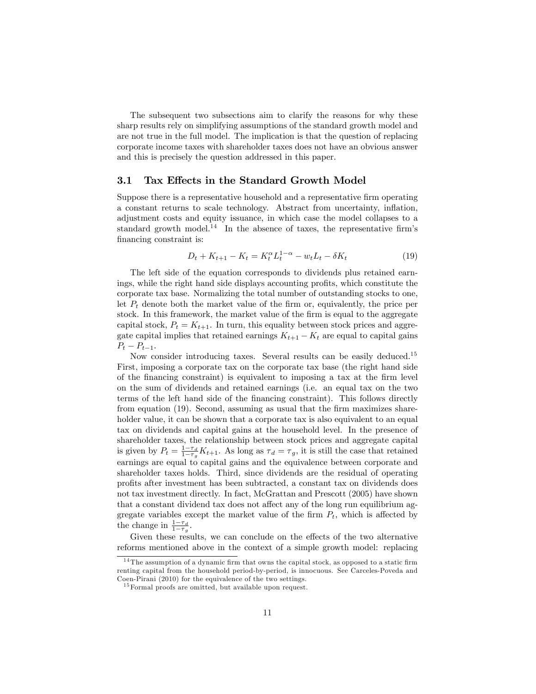The subsequent two subsections aim to clarify the reasons for why these sharp results rely on simplifying assumptions of the standard growth model and are not true in the full model. The implication is that the question of replacing corporate income taxes with shareholder taxes does not have an obvious answer and this is precisely the question addressed in this paper.

#### 3.1 Tax Effects in the Standard Growth Model

Suppose there is a representative household and a representative firm operating a constant returns to scale technology. Abstract from uncertainty, inflation, adjustment costs and equity issuance, in which case the model collapses to a standard growth model. $^{14}$  In the absence of taxes, the representative firm's financing constraint is:

$$
D_t + K_{t+1} - K_t = K_t^{\alpha} L_t^{1-\alpha} - w_t L_t - \delta K_t
$$
\n(19)

The left side of the equation corresponds to dividends plus retained earnings, while the right hand side displays accounting profits, which constitute the corporate tax base. Normalizing the total number of outstanding stocks to one, let  $P_t$  denote both the market value of the firm or, equivalently, the price per stock. In this framework, the market value of the firm is equal to the aggregate capital stock,  $P_t = K_{t+1}$ . In turn, this equality between stock prices and aggregate capital implies that retained earnings  $K_{t+1} - K_t$  are equal to capital gains  $P_t - P_{t-1}.$ 

Now consider introducing taxes. Several results can be easily deduced.<sup>15</sup> First, imposing a corporate tax on the corporate tax base (the right hand side of the Önancing constraint) is equivalent to imposing a tax at the Örm level on the sum of dividends and retained earnings (i.e. an equal tax on the two terms of the left hand side of the financing constraint). This follows directly from equation (19). Second, assuming as usual that the firm maximizes shareholder value, it can be shown that a corporate tax is also equivalent to an equal tax on dividends and capital gains at the household level. In the presence of shareholder taxes, the relationship between stock prices and aggregate capital is given by  $P_t = \frac{1-\tau_d}{1-\tau_g} K_{t+1}$ . As long as  $\tau_d = \tau_g$ , it is still the case that retained earnings are equal to capital gains and the equivalence between corporate and shareholder taxes holds. Third, since dividends are the residual of operating proÖts after investment has been subtracted, a constant tax on dividends does not tax investment directly. In fact, McGrattan and Prescott (2005) have shown that a constant dividend tax does not affect any of the long run equilibrium aggregate variables except the market value of the firm  $P_t$ , which is affected by the change in  $\frac{1-\tau_d}{1-\tau_g}$ .

Given these results, we can conclude on the effects of the two alternative reforms mentioned above in the context of a simple growth model: replacing

 $14$ The assumption of a dynamic firm that owns the capital stock, as opposed to a static firm renting capital from the household period-by-period, is innocuous. See Carceles-Poveda and Coen-Pirani (2010) for the equivalence of the two settings.

<sup>&</sup>lt;sup>15</sup> Formal proofs are omitted, but available upon request.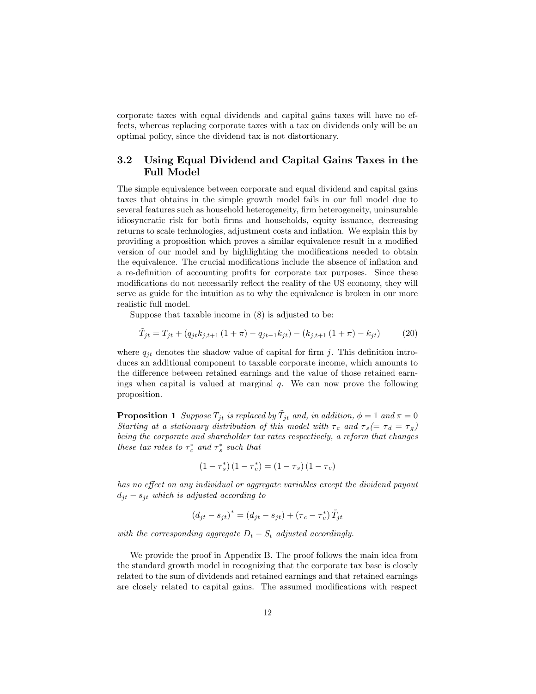corporate taxes with equal dividends and capital gains taxes will have no effects, whereas replacing corporate taxes with a tax on dividends only will be an optimal policy, since the dividend tax is not distortionary.

### 3.2 Using Equal Dividend and Capital Gains Taxes in the Full Model

The simple equivalence between corporate and equal dividend and capital gains taxes that obtains in the simple growth model fails in our full model due to several features such as household heterogeneity, firm heterogeneity, uninsurable idiosyncratic risk for both firms and households, equity issuance, decreasing returns to scale technologies, adjustment costs and inflation. We explain this by providing a proposition which proves a similar equivalence result in a modified version of our model and by highlighting the modifications needed to obtain the equivalence. The crucial modifications include the absence of inflation and a re-definition of accounting profits for corporate tax purposes. Since these modifications do not necessarily reflect the reality of the US economy, they will serve as guide for the intuition as to why the equivalence is broken in our more realistic full model.

Suppose that taxable income in (8) is adjusted to be:

$$
\tilde{T}_{jt} = T_{jt} + (q_{jt}k_{j,t+1}(1+\pi) - q_{jt-1}k_{jt}) - (k_{j,t+1}(1+\pi) - k_{jt})
$$
\n(20)

where  $q_{it}$  denotes the shadow value of capital for firm j. This definition introduces an additional component to taxable corporate income, which amounts to the difference between retained earnings and the value of those retained earnings when capital is valued at marginal  $q$ . We can now prove the following proposition.

**Proposition 1** Suppose  $T_{jt}$  is replaced by  $\tilde{T}_{jt}$  and, in addition,  $\phi = 1$  and  $\pi = 0$ Starting at a stationary distribution of this model with  $\tau_c$  and  $\tau_s(=\tau_d = \tau_g)$ being the corporate and shareholder tax rates respectively, a reform that changes these tax rates to  $\tau_c^*$  and  $\tau_s^*$  such that

$$
(1 - \tau_s^*) (1 - \tau_c^*) = (1 - \tau_s) (1 - \tau_c)
$$

has no effect on any individual or aggregate variables except the dividend payout  $d_{jt} - s_{jt}$  which is adjusted according to

$$
(d_{jt} - s_{jt})^* = (d_{jt} - s_{jt}) + (\tau_c - \tau_c^*) \tilde{T}_{jt}
$$

with the corresponding aggregate  $D_t - S_t$  adjusted accordingly.

We provide the proof in Appendix B. The proof follows the main idea from the standard growth model in recognizing that the corporate tax base is closely related to the sum of dividends and retained earnings and that retained earnings are closely related to capital gains. The assumed modifications with respect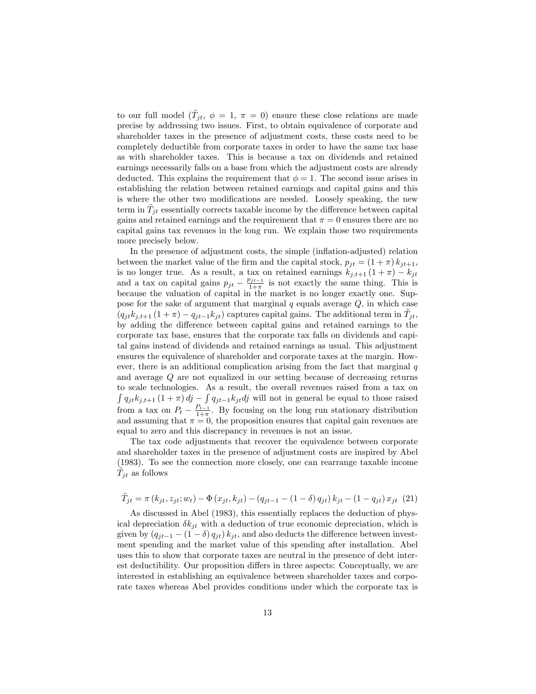to our full model  $(\tilde{T}_{jt}, \phi = 1, \pi = 0)$  ensure these close relations are made precise by addressing two issues. First, to obtain equivalence of corporate and shareholder taxes in the presence of adjustment costs, these costs need to be completely deductible from corporate taxes in order to have the same tax base as with shareholder taxes. This is because a tax on dividends and retained earnings necessarily falls on a base from which the adjustment costs are already deducted. This explains the requirement that  $\phi = 1$ . The second issue arises in establishing the relation between retained earnings and capital gains and this is where the other two modifications are needed. Loosely speaking, the new term in  $\tilde{T}_{jt}$  essentially corrects taxable income by the difference between capital gains and retained earnings and the requirement that  $\pi = 0$  ensures there are no capital gains tax revenues in the long run. We explain those two requirements more precisely below.

In the presence of adjustment costs, the simple (inflation-adjusted) relation between the market value of the firm and the capital stock,  $p_{it} = (1 + \pi) k_{it+1}$ , is no longer true. As a result, a tax on retained earnings  $k_{j,t+1} (1 + \pi) - k_{jt}$ and a tax on capital gains  $p_{jt} - \frac{p_{jt-1}}{1+\pi}$  is not exactly the same thing. This is because the valuation of capital in the market is no longer exactly one. Suppose for the sake of argument that marginal  $q$  equals average  $Q$ , in which case  $(q_{jt}k_{j,t+1}(1+\pi)-q_{jt-1}k_{jt})$  captures capital gains. The additional term in  $\tilde{T}_{jt}$ , by adding the difference between capital gains and retained earnings to the corporate tax base, ensures that the corporate tax falls on dividends and capital gains instead of dividends and retained earnings as usual. This adjustment ensures the equivalence of shareholder and corporate taxes at the margin. However, there is an additional complication arising from the fact that marginal  $q$ and average Q are not equalized in our setting because of decreasing returns to scale technologies. As a result, the overall revenues raised from a tax on  $\int q_{jt}k_{j,t+1} (1 + \pi) d\mathbf{j} - \int q_{jt-1}k_{jt} d\mathbf{j}$  will not in general be equal to those raised from a tax on  $P_t - \frac{P_{t-1}}{1+\pi}$ . By focusing on the long run stationary distribution and assuming that  $\pi = 0$ , the proposition ensures that capital gain revenues are equal to zero and this discrepancy in revenues is not an issue.

The tax code adjustments that recover the equivalence between corporate and shareholder taxes in the presence of adjustment costs are inspired by Abel (1983). To see the connection more closely, one can rearrange taxable income  $\tilde{T}_{jt}$  as follows

$$
\tilde{T}_{jt} = \pi (k_{jt}, z_{jt}; w_t) - \Phi (x_{jt}, k_{jt}) - (q_{jt-1} - (1 - \delta) q_{jt}) k_{jt} - (1 - q_{jt}) x_{jt} (21)
$$

As discussed in Abel (1983), this essentially replaces the deduction of physical depreciation  $\delta k_{it}$  with a deduction of true economic depreciation, which is given by  $(q_{jt-1} - (1 - \delta) q_{jt}) k_{jt}$ , and also deducts the difference between investment spending and the market value of this spending after installation. Abel uses this to show that corporate taxes are neutral in the presence of debt interest deductibility. Our proposition differs in three aspects: Conceptually, we are interested in establishing an equivalence between shareholder taxes and corporate taxes whereas Abel provides conditions under which the corporate tax is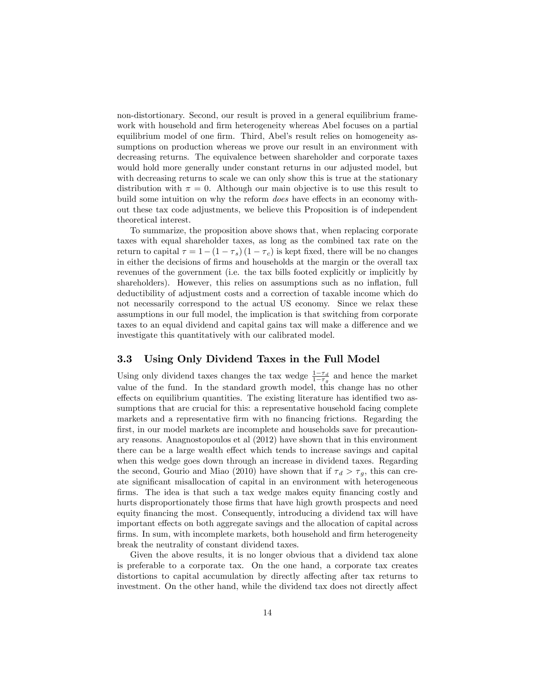non-distortionary. Second, our result is proved in a general equilibrium framework with household and firm heterogeneity whereas Abel focuses on a partial equilibrium model of one firm. Third, Abel's result relies on homogeneity assumptions on production whereas we prove our result in an environment with decreasing returns. The equivalence between shareholder and corporate taxes would hold more generally under constant returns in our adjusted model, but with decreasing returns to scale we can only show this is true at the stationary distribution with  $\pi = 0$ . Although our main objective is to use this result to build some intuition on why the reform *does* have effects in an economy without these tax code adjustments, we believe this Proposition is of independent theoretical interest.

To summarize, the proposition above shows that, when replacing corporate taxes with equal shareholder taxes, as long as the combined tax rate on the return to capital  $\tau = 1-(1 - \tau_s) (1 - \tau_c)$  is kept fixed, there will be no changes in either the decisions of firms and households at the margin or the overall tax revenues of the government (i.e. the tax bills footed explicitly or implicitly by shareholders). However, this relies on assumptions such as no inflation, full deductibility of adjustment costs and a correction of taxable income which do not necessarily correspond to the actual US economy. Since we relax these assumptions in our full model, the implication is that switching from corporate taxes to an equal dividend and capital gains tax will make a difference and we investigate this quantitatively with our calibrated model.

#### 3.3 Using Only Dividend Taxes in the Full Model

Using only dividend taxes changes the tax wedge  $\frac{1-\tau_d}{1-\tau_g}$  and hence the market value of the fund. In the standard growth model, this change has no other effects on equilibrium quantities. The existing literature has identified two assumptions that are crucial for this: a representative household facing complete markets and a representative firm with no financing frictions. Regarding the first, in our model markets are incomplete and households save for precautionary reasons. Anagnostopoulos et al (2012) have shown that in this environment there can be a large wealth effect which tends to increase savings and capital when this wedge goes down through an increase in dividend taxes. Regarding the second, Gourio and Miao (2010) have shown that if  $\tau_d > \tau_q$ , this can create significant misallocation of capital in an environment with heterogeneous firms. The idea is that such a tax wedge makes equity financing costly and hurts disproportionately those firms that have high growth prospects and need equity Önancing the most. Consequently, introducing a dividend tax will have important effects on both aggregate savings and the allocation of capital across firms. In sum, with incomplete markets, both household and firm heterogeneity break the neutrality of constant dividend taxes.

Given the above results, it is no longer obvious that a dividend tax alone is preferable to a corporate tax. On the one hand, a corporate tax creates distortions to capital accumulation by directly affecting after tax returns to investment. On the other hand, while the dividend tax does not directly affect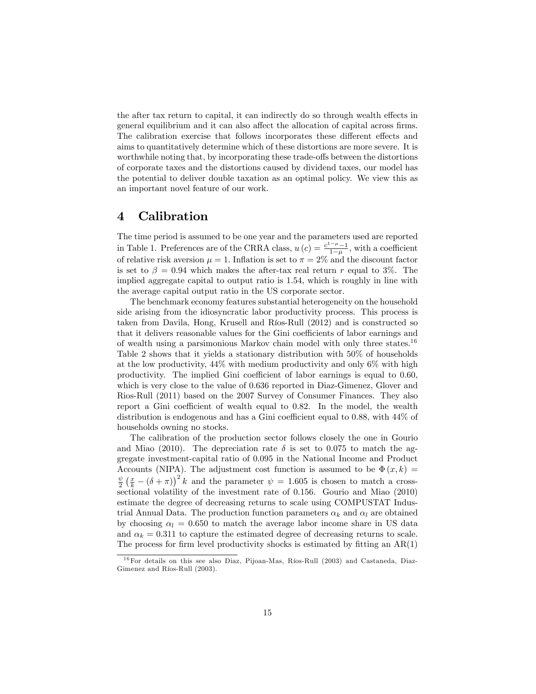the after tax return to capital, it can indirectly do so through wealth effects in general equilibrium and it can also affect the allocation of capital across firms. The calibration exercise that follows incorporates these different effects and aims to quantitatively determine which of these distortions are more severe. It is worthwhile noting that, by incorporating these trade-offs between the distortions of corporate taxes and the distortions caused by dividend taxes, our model has the potential to deliver double taxation as an optimal policy. We view this as an important novel feature of our work.

# 4 Calibration

The time period is assumed to be one year and the parameters used are reported in Table 1. Preferences are of the CRRA class,  $u(c) = \frac{c^{1-\mu}-1}{1-\mu}$ , with a coefficient of relative risk aversion  $\mu = 1$ . Inflation is set to  $\pi = 2\%$  and the discount factor is set to  $\beta = 0.94$  which makes the after-tax real return r equal to 3%. The implied aggregate capital to output ratio is 1:54, which is roughly in line with the average capital output ratio in the US corporate sector.

The benchmark economy features substantial heterogeneity on the household side arising from the idiosyncratic labor productivity process. This process is taken from Davila, Hong, Krusell and Ríos-Rull (2012) and is constructed so that it delivers reasonable values for the Gini coefficients of labor earnings and of wealth using a parsimonious Markov chain model with only three states.<sup>16</sup> Table 2 shows that it yields a stationary distribution with 50% of households at the low productivity, 44% with medium productivity and only 6% with high productivity. The implied Gini coefficient of labor earnings is equal to  $0.60$ , which is very close to the value of 0:636 reported in Diaz-Gimenez, Glover and Rios-Rull (2011) based on the 2007 Survey of Consumer Finances. They also report a Gini coefficient of wealth equal to  $0.82$ . In the model, the wealth distribution is endogenous and has a Gini coefficient equal to  $0.88$ , with  $44\%$  of households owning no stocks.

The calibration of the production sector follows closely the one in Gourio and Miao (2010). The depreciation rate  $\delta$  is set to 0.075 to match the aggregate investment-capital ratio of 0:095 in the National Income and Product Accounts (NIPA). The adjustment cost function is assumed to be  $\Phi(x, k) =$  $\frac{\psi}{2} \left( \frac{x}{k} - (\delta + \pi) \right)^2 k$  and the parameter  $\psi = 1.605$  is chosen to match a crosssectional volatility of the investment rate of 0.156. Gourio and Miao (2010) estimate the degree of decreasing returns to scale using COMPUSTAT Industrial Annual Data. The production function parameters  $\alpha_k$  and  $\alpha_l$  are obtained by choosing  $\alpha_l = 0.650$  to match the average labor income share in US data and  $\alpha_k = 0.311$  to capture the estimated degree of decreasing returns to scale. The process for firm level productivity shocks is estimated by fitting an  $AR(1)$ 

 $16$  For details on this see also Diaz, Pijoan-Mas, Ríos-Rull (2003) and Castaneda, Diaz-Gimenez and Ríos-Rull (2003).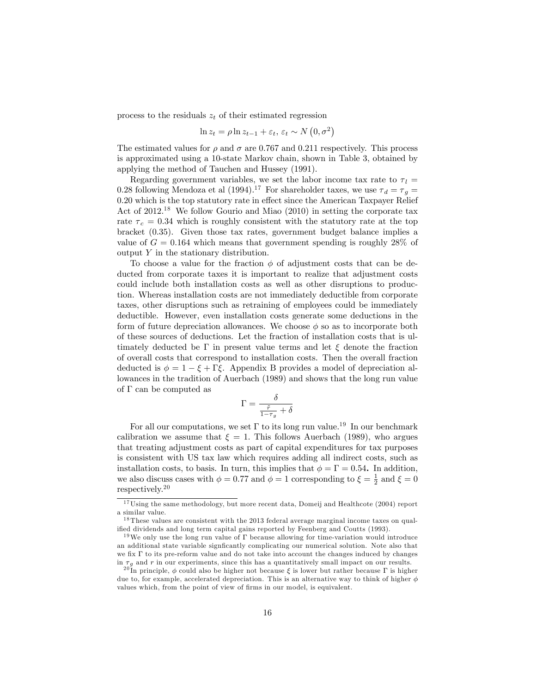process to the residuals  $z_t$  of their estimated regression

$$
\ln z_t = \rho \ln z_{t-1} + \varepsilon_t, \, \varepsilon_t \sim N\left(0, \sigma^2\right)
$$

The estimated values for  $\rho$  and  $\sigma$  are 0.767 and 0.211 respectively. This process is approximated using a 10-state Markov chain, shown in Table 3, obtained by applying the method of Tauchen and Hussey (1991).

Regarding government variables, we set the labor income tax rate to  $\tau_l =$ 0.28 following Mendoza et al (1994).<sup>17</sup> For shareholder taxes, we use  $\tau_d = \tau_g =$  $0.20$  which is the top statutory rate in effect since the American Taxpayer Relief Act of  $2012^{18}$  We follow Gourio and Miao (2010) in setting the corporate tax rate  $\tau_c = 0.34$  which is roughly consistent with the statutory rate at the top bracket (0:35). Given those tax rates, government budget balance implies a value of  $G = 0.164$  which means that government spending is roughly 28% of output  $Y$  in the stationary distribution.

To choose a value for the fraction  $\phi$  of adjustment costs that can be deducted from corporate taxes it is important to realize that adjustment costs could include both installation costs as well as other disruptions to production. Whereas installation costs are not immediately deductible from corporate taxes, other disruptions such as retraining of employees could be immediately deductible. However, even installation costs generate some deductions in the form of future depreciation allowances. We choose  $\phi$  so as to incorporate both of these sources of deductions. Let the fraction of installation costs that is ultimately deducted be  $\Gamma$  in present value terms and let  $\xi$  denote the fraction of overall costs that correspond to installation costs. Then the overall fraction deducted is  $\phi = 1 - \xi + \Gamma \xi$ . Appendix B provides a model of depreciation allowances in the tradition of Auerbach (1989) and shows that the long run value of  $\Gamma$  can be computed as

$$
\Gamma = \frac{\delta}{\frac{\tilde{r}}{1-\tau_g}+\delta}
$$

For all our computations, we set  $\Gamma$  to its long run value.<sup>19</sup> In our benchmark calibration we assume that  $\xi = 1$ . This follows Auerbach (1989), who argues that treating adjustment costs as part of capital expenditures for tax purposes is consistent with US tax law which requires adding all indirect costs, such as installation costs, to basis. In turn, this implies that  $\phi = \Gamma = 0.54$ . In addition, we also discuss cases with  $\phi = 0.77$  and  $\phi = 1$  corresponding to  $\xi = \frac{1}{2}$  and  $\xi = 0$ respectively.<sup>20</sup>

 $17 \text{Using the same methodology, but more recent data, Domeij and Health to the (2004) report}$ a similar value.

 $18$  These values are consistent with the 2013 federal average marginal income taxes on qualified dividends and long term capital gains reported by Feenberg and Coutts (1993).

<sup>&</sup>lt;sup>19</sup>We only use the long run value of  $\Gamma$  because allowing for time-variation would introduce an additional state variable significantly complicating our numerical solution. Note also that we fix  $\Gamma$  to its pre-reform value and do not take into account the changes induced by changes in  $\tau<sub>g</sub>$  and r in our experiments, since this has a quantitatively small impact on our results.

<sup>&</sup>lt;sup>20</sup>In principle,  $\phi$  could also be higher not because  $\xi$  is lower but rather because  $\Gamma$  is higher due to, for example, accelerated depreciation. This is an alternative way to think of higher  $\phi$ values which, from the point of view of firms in our model, is equivalent.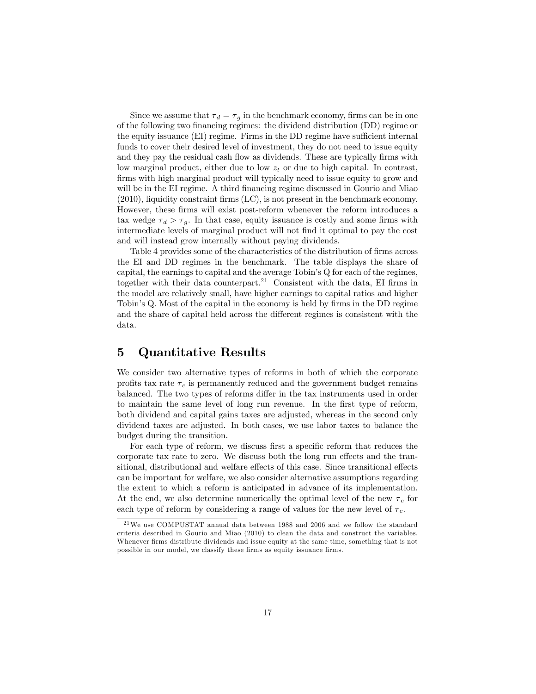Since we assume that  $\tau_d = \tau_g$  in the benchmark economy, firms can be in one of the following two financing regimes: the dividend distribution (DD) regime or the equity issuance (EI) regime. Firms in the DD regime have sufficient internal funds to cover their desired level of investment, they do not need to issue equity and they pay the residual cash flow as dividends. These are typically firms with low marginal product, either due to low  $z_t$  or due to high capital. In contrast, firms with high marginal product will typically need to issue equity to grow and will be in the EI regime. A third financing regime discussed in Gourio and Miao  $(2010)$ , liquidity constraint firms  $(LC)$ , is not present in the benchmark economy. However, these firms will exist post-reform whenever the reform introduces a tax wedge  $\tau_d > \tau_g$ . In that case, equity issuance is costly and some firms with intermediate levels of marginal product will not find it optimal to pay the cost and will instead grow internally without paying dividends.

Table 4 provides some of the characteristics of the distribution of firms across the EI and DD regimes in the benchmark. The table displays the share of capital, the earnings to capital and the average  $T^{th}$  C for each of the regimes, together with their data counterpart.<sup>21</sup> Consistent with the data, EI firms in the model are relatively small, have higher earnings to capital ratios and higher Tobin's Q. Most of the capital in the economy is held by firms in the DD regime and the share of capital held across the different regimes is consistent with the data.

# 5 Quantitative Results

We consider two alternative types of reforms in both of which the corporate profits tax rate  $\tau_c$  is permanently reduced and the government budget remains balanced. The two types of reforms differ in the tax instruments used in order to maintain the same level of long run revenue. In the first type of reform, both dividend and capital gains taxes are adjusted, whereas in the second only dividend taxes are adjusted. In both cases, we use labor taxes to balance the budget during the transition.

For each type of reform, we discuss first a specific reform that reduces the corporate tax rate to zero. We discuss both the long run effects and the transitional, distributional and welfare effects of this case. Since transitional effects can be important for welfare, we also consider alternative assumptions regarding the extent to which a reform is anticipated in advance of its implementation. At the end, we also determine numerically the optimal level of the new  $\tau_c$  for each type of reform by considering a range of values for the new level of  $\tau_c$ .

 $^{21}\rm{We}$ use COMPUSTAT annual data between 1988 and 2006 and we follow the standard criteria described in Gourio and Miao (2010) to clean the data and construct the variables. Whenever firms distribute dividends and issue equity at the same time, something that is not possible in our model, we classify these firms as equity issuance firms.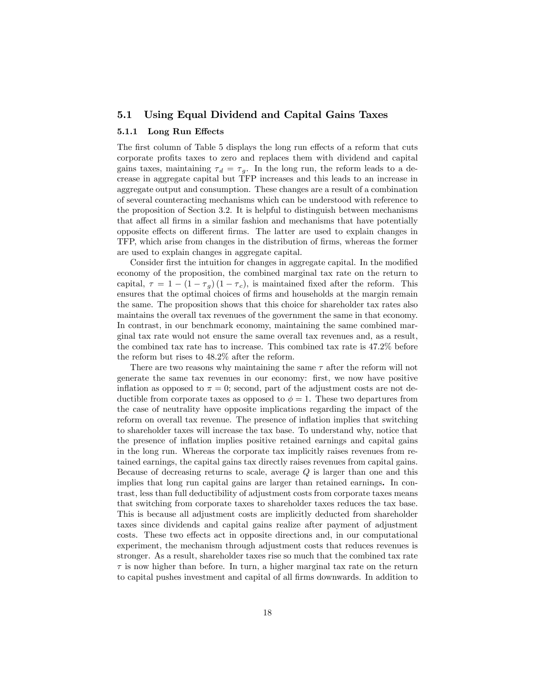#### 5.1 Using Equal Dividend and Capital Gains Taxes

#### 5.1.1 Long Run Effects

The first column of Table 5 displays the long run effects of a reform that cuts corporate profits taxes to zero and replaces them with dividend and capital gains taxes, maintaining  $\tau_d = \tau_g$ . In the long run, the reform leads to a decrease in aggregate capital but TFP increases and this leads to an increase in aggregate output and consumption. These changes are a result of a combination of several counteracting mechanisms which can be understood with reference to the proposition of Section 3.2. It is helpful to distinguish between mechanisms that affect all firms in a similar fashion and mechanisms that have potentially opposite effects on different firms. The latter are used to explain changes in TFP, which arise from changes in the distribution of Örms, whereas the former are used to explain changes in aggregate capital.

Consider first the intuition for changes in aggregate capital. In the modified economy of the proposition, the combined marginal tax rate on the return to capital,  $\tau = 1 - (1 - \tau_g) (1 - \tau_c)$ , is maintained fixed after the reform. This ensures that the optimal choices of firms and households at the margin remain the same. The proposition shows that this choice for shareholder tax rates also maintains the overall tax revenues of the government the same in that economy. In contrast, in our benchmark economy, maintaining the same combined marginal tax rate would not ensure the same overall tax revenues and, as a result, the combined tax rate has to increase. This combined tax rate is 47:2% before the reform but rises to 48:2% after the reform.

There are two reasons why maintaining the same  $\tau$  after the reform will not generate the same tax revenues in our economy: Örst, we now have positive inflation as opposed to  $\pi = 0$ ; second, part of the adjustment costs are not deductible from corporate taxes as opposed to  $\phi = 1$ . These two departures from the case of neutrality have opposite implications regarding the impact of the reform on overall tax revenue. The presence of inflation implies that switching to shareholder taxes will increase the tax base. To understand why, notice that the presence of ináation implies positive retained earnings and capital gains in the long run. Whereas the corporate tax implicitly raises revenues from retained earnings, the capital gains tax directly raises revenues from capital gains. Because of decreasing returns to scale, average  $Q$  is larger than one and this implies that long run capital gains are larger than retained earnings. In contrast, less than full deductibility of adjustment costs from corporate taxes means that switching from corporate taxes to shareholder taxes reduces the tax base. This is because all adjustment costs are implicitly deducted from shareholder taxes since dividends and capital gains realize after payment of adjustment costs. These two effects act in opposite directions and, in our computational experiment, the mechanism through adjustment costs that reduces revenues is stronger. As a result, shareholder taxes rise so much that the combined tax rate  $\tau$  is now higher than before. In turn, a higher marginal tax rate on the return to capital pushes investment and capital of all firms downwards. In addition to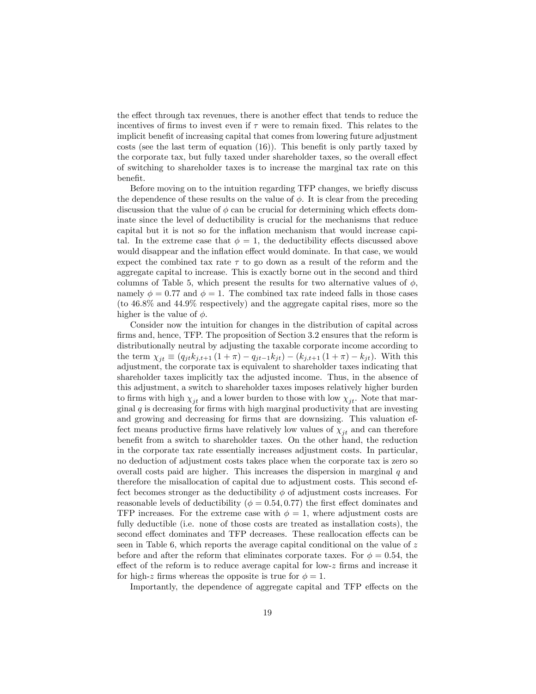the effect through tax revenues, there is another effect that tends to reduce the incentives of firms to invest even if  $\tau$  were to remain fixed. This relates to the implicit benefit of increasing capital that comes from lowering future adjustment costs (see the last term of equation  $(16)$ ). This benefit is only partly taxed by the corporate tax, but fully taxed under shareholder taxes, so the overall effect of switching to shareholder taxes is to increase the marginal tax rate on this benefit.

Before moving on to the intuition regarding TFP changes, we briefly discuss the dependence of these results on the value of  $\phi$ . It is clear from the preceding discussion that the value of  $\phi$  can be crucial for determining which effects dominate since the level of deductibility is crucial for the mechanisms that reduce capital but it is not so for the inflation mechanism that would increase capital. In the extreme case that  $\phi = 1$ , the deductibility effects discussed above would disappear and the inflation effect would dominate. In that case, we would expect the combined tax rate  $\tau$  to go down as a result of the reform and the aggregate capital to increase. This is exactly borne out in the second and third columns of Table 5, which present the results for two alternative values of  $\phi$ , namely  $\phi = 0.77$  and  $\phi = 1$ . The combined tax rate indeed falls in those cases (to 46:8% and 44:9% respectively) and the aggregate capital rises, more so the higher is the value of  $\phi$ .

Consider now the intuition for changes in the distribution of capital across firms and, hence, TFP. The proposition of Section 3.2 ensures that the reform is distributionally neutral by adjusting the taxable corporate income according to the term  $\chi_{it} \equiv (q_{jt}k_{j,t+1} (1 + \pi) - q_{jt-1}k_{jt}) - (k_{j,t+1} (1 + \pi) - k_{jt}).$  With this adjustment, the corporate tax is equivalent to shareholder taxes indicating that shareholder taxes implicitly tax the adjusted income. Thus, in the absence of this adjustment, a switch to shareholder taxes imposes relatively higher burden to firms with high  $\chi_{it}$  and a lower burden to those with low  $\chi_{it}$ . Note that marginal  $q$  is decreasing for firms with high marginal productivity that are investing and growing and decreasing for firms that are downsizing. This valuation effect means productive firms have relatively low values of  $\chi_{it}$  and can therefore benefit from a switch to shareholder taxes. On the other hand, the reduction in the corporate tax rate essentially increases adjustment costs. In particular, no deduction of adjustment costs takes place when the corporate tax is zero so overall costs paid are higher. This increases the dispersion in marginal  $q$  and therefore the misallocation of capital due to adjustment costs. This second effect becomes stronger as the deductibility  $\phi$  of adjustment costs increases. For reasonable levels of deductibility ( $\phi = 0.54, 0.77$ ) the first effect dominates and TFP increases. For the extreme case with  $\phi = 1$ , where adjustment costs are fully deductible (i.e. none of those costs are treated as installation costs), the second effect dominates and TFP decreases. These reallocation effects can be seen in Table 6, which reports the average capital conditional on the value of z before and after the reform that eliminates corporate taxes. For  $\phi = 0.54$ , the effect of the reform is to reduce average capital for low-z firms and increase it for high-z firms whereas the opposite is true for  $\phi = 1$ .

Importantly, the dependence of aggregate capital and TFP effects on the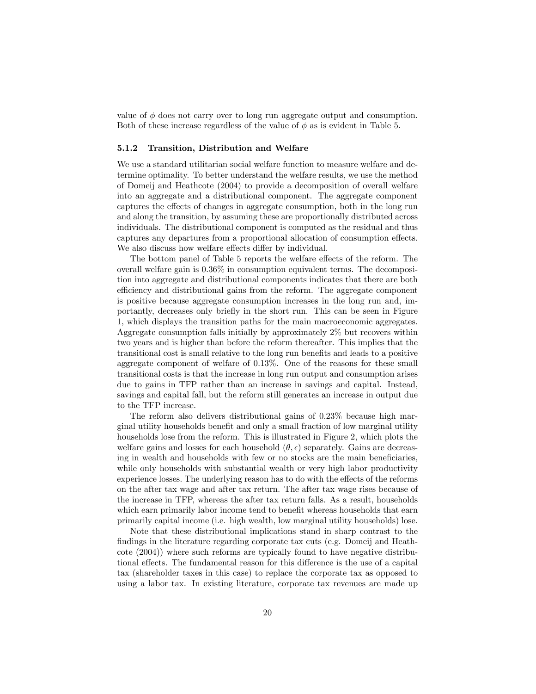value of  $\phi$  does not carry over to long run aggregate output and consumption. Both of these increase regardless of the value of  $\phi$  as is evident in Table 5.

#### 5.1.2 Transition, Distribution and Welfare

We use a standard utilitarian social welfare function to measure welfare and determine optimality. To better understand the welfare results, we use the method of Domeij and Heathcote (2004) to provide a decomposition of overall welfare into an aggregate and a distributional component. The aggregate component captures the effects of changes in aggregate consumption, both in the long run and along the transition, by assuming these are proportionally distributed across individuals. The distributional component is computed as the residual and thus captures any departures from a proportional allocation of consumption effects. We also discuss how welfare effects differ by individual.

The bottom panel of Table 5 reports the welfare effects of the reform. The overall welfare gain is 0:36% in consumption equivalent terms. The decomposition into aggregate and distributional components indicates that there are both efficiency and distributional gains from the reform. The aggregate component is positive because aggregate consumption increases in the long run and, importantly, decreases only brieáy in the short run. This can be seen in Figure 1, which displays the transition paths for the main macroeconomic aggregates. Aggregate consumption falls initially by approximately 2% but recovers within two years and is higher than before the reform thereafter. This implies that the transitional cost is small relative to the long run benefits and leads to a positive aggregate component of welfare of  $0.13\%$ . One of the reasons for these small transitional costs is that the increase in long run output and consumption arises due to gains in TFP rather than an increase in savings and capital. Instead, savings and capital fall, but the reform still generates an increase in output due to the TFP increase.

The reform also delivers distributional gains of  $0.23\%$  because high marginal utility households benefit and only a small fraction of low marginal utility households lose from the reform. This is illustrated in Figure 2, which plots the welfare gains and losses for each household  $(\theta, \epsilon)$  separately. Gains are decreasing in wealth and households with few or no stocks are the main beneficiaries, while only households with substantial wealth or very high labor productivity experience losses. The underlying reason has to do with the effects of the reforms on the after tax wage and after tax return. The after tax wage rises because of the increase in TFP, whereas the after tax return falls. As a result, households which earn primarily labor income tend to benefit whereas households that earn primarily capital income (i.e. high wealth, low marginal utility households) lose.

Note that these distributional implications stand in sharp contrast to the findings in the literature regarding corporate tax cuts (e.g. Domeij and Heathcote (2004)) where such reforms are typically found to have negative distributional effects. The fundamental reason for this difference is the use of a capital tax (shareholder taxes in this case) to replace the corporate tax as opposed to using a labor tax. In existing literature, corporate tax revenues are made up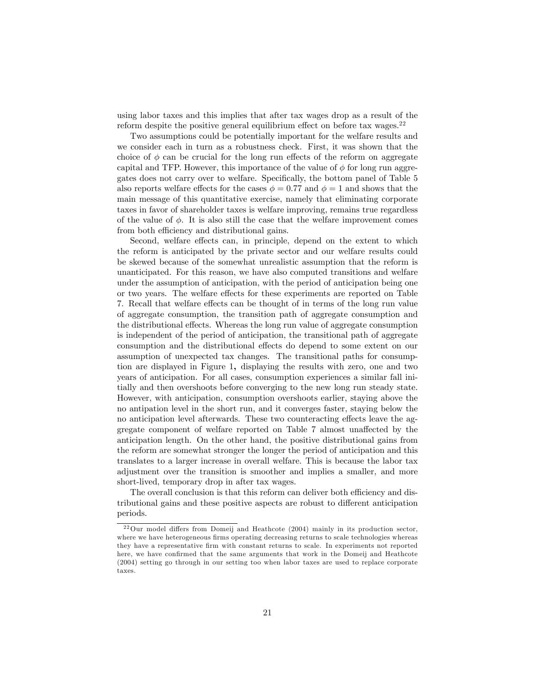using labor taxes and this implies that after tax wages drop as a result of the reform despite the positive general equilibrium effect on before tax wages. $22$ 

Two assumptions could be potentially important for the welfare results and we consider each in turn as a robustness check. First, it was shown that the choice of  $\phi$  can be crucial for the long run effects of the reform on aggregate capital and TFP. However, this importance of the value of  $\phi$  for long run aggregates does not carry over to welfare. Specifically, the bottom panel of Table 5 also reports welfare effects for the cases  $\phi = 0.77$  and  $\phi = 1$  and shows that the main message of this quantitative exercise, namely that eliminating corporate taxes in favor of shareholder taxes is welfare improving, remains true regardless of the value of  $\phi$ . It is also still the case that the welfare improvement comes from both efficiency and distributional gains.

Second, welfare effects can, in principle, depend on the extent to which the reform is anticipated by the private sector and our welfare results could be skewed because of the somewhat unrealistic assumption that the reform is unanticipated. For this reason, we have also computed transitions and welfare under the assumption of anticipation, with the period of anticipation being one or two years. The welfare effects for these experiments are reported on Table 7. Recall that welfare effects can be thought of in terms of the long run value of aggregate consumption, the transition path of aggregate consumption and the distributional effects. Whereas the long run value of aggregate consumption is independent of the period of anticipation, the transitional path of aggregate consumption and the distributional effects do depend to some extent on our assumption of unexpected tax changes. The transitional paths for consumption are displayed in Figure 1, displaying the results with zero, one and two years of anticipation. For all cases, consumption experiences a similar fall initially and then overshoots before converging to the new long run steady state. However, with anticipation, consumption overshoots earlier, staying above the no antipation level in the short run, and it converges faster, staying below the no anticipation level afterwards. These two counteracting effects leave the aggregate component of welfare reported on Table 7 almost unaffected by the anticipation length. On the other hand, the positive distributional gains from the reform are somewhat stronger the longer the period of anticipation and this translates to a larger increase in overall welfare. This is because the labor tax adjustment over the transition is smoother and implies a smaller, and more short-lived, temporary drop in after tax wages.

The overall conclusion is that this reform can deliver both efficiency and distributional gains and these positive aspects are robust to different anticipation periods.

 $22$ Our model differs from Domeij and Heathcote (2004) mainly in its production sector, where we have heterogeneous firms operating decreasing returns to scale technologies whereas they have a representative Örm with constant returns to scale. In experiments not reported here, we have confirmed that the same arguments that work in the Domeij and Heathcote (2004) setting go through in our setting too when labor taxes are used to replace corporate taxes.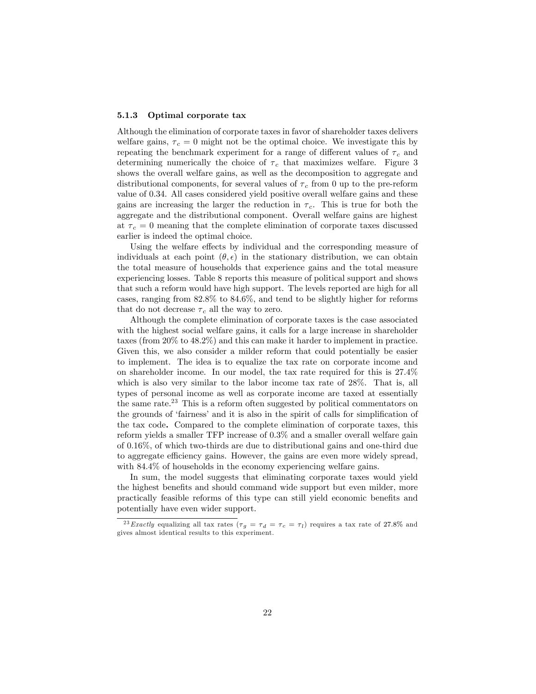#### 5.1.3 Optimal corporate tax

Although the elimination of corporate taxes in favor of shareholder taxes delivers welfare gains,  $\tau_c = 0$  might not be the optimal choice. We investigate this by repeating the benchmark experiment for a range of different values of  $\tau_c$  and determining numerically the choice of  $\tau_c$  that maximizes welfare. Figure 3 shows the overall welfare gains, as well as the decomposition to aggregate and distributional components, for several values of  $\tau_c$  from 0 up to the pre-reform value of 0:34. All cases considered yield positive overall welfare gains and these gains are increasing the larger the reduction in  $\tau_c$ . This is true for both the aggregate and the distributional component. Overall welfare gains are highest at  $\tau_c = 0$  meaning that the complete elimination of corporate taxes discussed earlier is indeed the optimal choice.

Using the welfare effects by individual and the corresponding measure of individuals at each point  $(\theta, \epsilon)$  in the stationary distribution, we can obtain the total measure of households that experience gains and the total measure experiencing losses. Table 8 reports this measure of political support and shows that such a reform would have high support. The levels reported are high for all cases, ranging from 82:8% to 84:6%, and tend to be slightly higher for reforms that do not decrease  $\tau_c$  all the way to zero.

Although the complete elimination of corporate taxes is the case associated with the highest social welfare gains, it calls for a large increase in shareholder taxes (from 20% to 48:2%) and this can make it harder to implement in practice. Given this, we also consider a milder reform that could potentially be easier to implement. The idea is to equalize the tax rate on corporate income and on shareholder income. In our model, the tax rate required for this is 27:4% which is also very similar to the labor income tax rate of 28%. That is, all types of personal income as well as corporate income are taxed at essentially the same rate.<sup>23</sup> This is a reform often suggested by political commentators on the grounds of 'fairness' and it is also in the spirit of calls for simplification of the tax code. Compared to the complete elimination of corporate taxes, this reform yields a smaller TFP increase of 0:3% and a smaller overall welfare gain of 0:16%, of which two-thirds are due to distributional gains and one-third due to aggregate efficiency gains. However, the gains are even more widely spread, with 84.4% of households in the economy experiencing welfare gains.

In sum, the model suggests that eliminating corporate taxes would yield the highest benefits and should command wide support but even milder, more practically feasible reforms of this type can still yield economic benefits and potentially have even wider support.

<sup>&</sup>lt;sup>23</sup> Exactly equalizing all tax rates ( $\tau_g = \tau_d = \tau_c = \tau_l$ ) requires a tax rate of 27.8% and gives almost identical results to this experiment.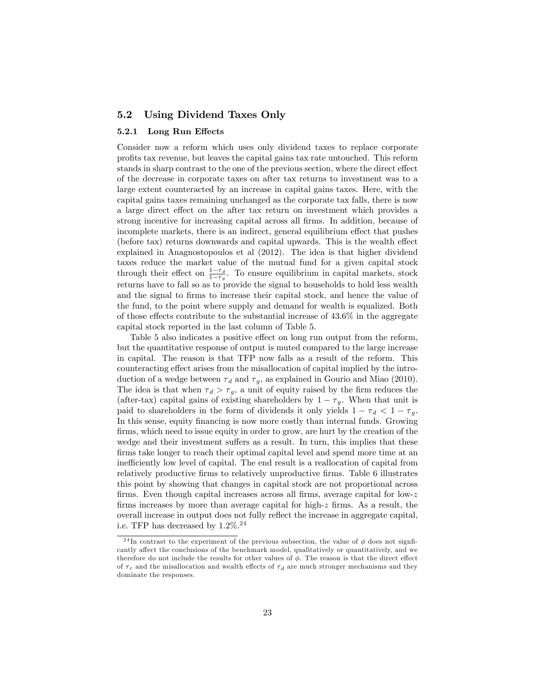#### 5.2 Using Dividend Taxes Only

#### 5.2.1 Long Run Effects

Consider now a reform which uses only dividend taxes to replace corporate profits tax revenue, but leaves the capital gains tax rate untouched. This reform stands in sharp contrast to the one of the previous section, where the direct effect of the decrease in corporate taxes on after tax returns to investment was to a large extent counteracted by an increase in capital gains taxes. Here, with the capital gains taxes remaining unchanged as the corporate tax falls, there is now a large direct effect on the after tax return on investment which provides a strong incentive for increasing capital across all firms. In addition, because of incomplete markets, there is an indirect, general equilibrium effect that pushes (before tax) returns downwards and capital upwards. This is the wealth effect explained in Anagnostopoulos et al (2012). The idea is that higher dividend taxes reduce the market value of the mutual fund for a given capital stock through their effect on  $\frac{1-\tau_d}{1-\tau_g}$ . To ensure equilibrium in capital markets, stock returns have to fall so as to provide the signal to households to hold less wealth and the signal to firms to increase their capital stock, and hence the value of the fund, to the point where supply and demand for wealth is equalized. Both of those effects contribute to the substantial increase of  $43.6\%$  in the aggregate capital stock reported in the last column of Table 5.

Table 5 also indicates a positive effect on long run output from the reform, but the quantitative response of output is muted compared to the large increase in capital. The reason is that TFP now falls as a result of the reform. This counteracting effect arises from the misallocation of capital implied by the introduction of a wedge between  $\tau_d$  and  $\tau_g$ , as explained in Gourio and Miao (2010). The idea is that when  $\tau_d > \tau_g$ , a unit of equity raised by the firm reduces the (after-tax) capital gains of existing shareholders by  $1 - \tau_g$ . When that unit is paid to shareholders in the form of dividends it only yields  $1 - \tau_d < 1 - \tau_g$ . In this sense, equity financing is now more costly than internal funds. Growing firms, which need to issue equity in order to grow, are hurt by the creation of the wedge and their investment suffers as a result. In turn, this implies that these firms take longer to reach their optimal capital level and spend more time at an inefficiently low level of capital. The end result is a reallocation of capital from relatively productive Örms to relatively unproductive Örms. Table 6 illustrates this point by showing that changes in capital stock are not proportional across firms. Even though capital increases across all firms, average capital for low- $z$ firms increases by more than average capital for high- $z$  firms. As a result, the overall increase in output does not fully reflect the increase in aggregate capital, i.e. TFP has decreased by  $1.2\%$ .<sup>24</sup>

<sup>&</sup>lt;sup>24</sup>In contrast to the experiment of the previous subsection, the value of  $\phi$  does not signficantly affect the conclusions of the benchmark model, qualitatively or quantitatively, and we therefore do not include the results for other values of  $\phi$ . The reason is that the direct effect of  $\tau_c$  and the misallocation and wealth effects of  $\tau_d$  are much stronger mechanisms and they dominate the responses.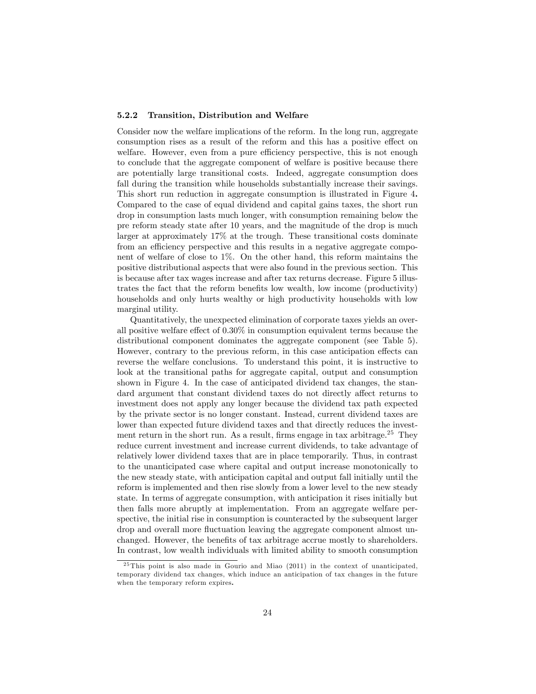#### 5.2.2 Transition, Distribution and Welfare

Consider now the welfare implications of the reform. In the long run, aggregate consumption rises as a result of the reform and this has a positive effect on welfare. However, even from a pure efficiency perspective, this is not enough to conclude that the aggregate component of welfare is positive because there are potentially large transitional costs. Indeed, aggregate consumption does fall during the transition while households substantially increase their savings. This short run reduction in aggregate consumption is illustrated in Figure 4. Compared to the case of equal dividend and capital gains taxes, the short run drop in consumption lasts much longer, with consumption remaining below the pre reform steady state after 10 years, and the magnitude of the drop is much larger at approximately 17% at the trough. These transitional costs dominate from an efficiency perspective and this results in a negative aggregate component of welfare of close to 1%. On the other hand, this reform maintains the positive distributional aspects that were also found in the previous section. This is because after tax wages increase and after tax returns decrease. Figure 5 illustrates the fact that the reform benefits low wealth, low income (productivity) households and only hurts wealthy or high productivity households with low marginal utility.

Quantitatively, the unexpected elimination of corporate taxes yields an overall positive welfare effect of  $0.30\%$  in consumption equivalent terms because the distributional component dominates the aggregate component (see Table 5). However, contrary to the previous reform, in this case anticipation effects can reverse the welfare conclusions. To understand this point, it is instructive to look at the transitional paths for aggregate capital, output and consumption shown in Figure 4. In the case of anticipated dividend tax changes, the standard argument that constant dividend taxes do not directly affect returns to investment does not apply any longer because the dividend tax path expected by the private sector is no longer constant. Instead, current dividend taxes are lower than expected future dividend taxes and that directly reduces the investment return in the short run. As a result, firms engage in tax arbitrage.<sup>25</sup> They reduce current investment and increase current dividends, to take advantage of relatively lower dividend taxes that are in place temporarily. Thus, in contrast to the unanticipated case where capital and output increase monotonically to the new steady state, with anticipation capital and output fall initially until the reform is implemented and then rise slowly from a lower level to the new steady state. In terms of aggregate consumption, with anticipation it rises initially but then falls more abruptly at implementation. From an aggregate welfare perspective, the initial rise in consumption is counteracted by the subsequent larger drop and overall more fluctuation leaving the aggregate component almost unchanged. However, the benefits of tax arbitrage accrue mostly to shareholders. In contrast, low wealth individuals with limited ability to smooth consumption

 $^{25}$ This point is also made in Gourio and Miao (2011) in the context of unanticipated, temporary dividend tax changes, which induce an anticipation of tax changes in the future when the temporary reform expires.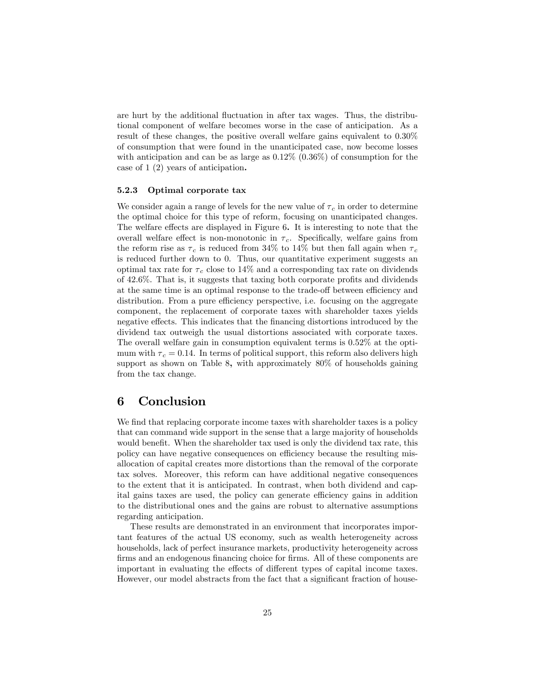are hurt by the additional fluctuation in after tax wages. Thus, the distributional component of welfare becomes worse in the case of anticipation. As a result of these changes, the positive overall welfare gains equivalent to 0:30% of consumption that were found in the unanticipated case, now become losses with anticipation and can be as large as  $0.12\%$   $(0.36\%)$  of consumption for the case of 1 (2) years of anticipation.

#### 5.2.3 Optimal corporate tax

We consider again a range of levels for the new value of  $\tau_c$  in order to determine the optimal choice for this type of reform, focusing on unanticipated changes. The welfare effects are displayed in Figure 6. It is interesting to note that the overall welfare effect is non-monotonic in  $\tau_c$ . Specifically, welfare gains from the reform rise as  $\tau_c$  is reduced from 34% to 14% but then fall again when  $\tau_c$ is reduced further down to 0. Thus, our quantitative experiment suggests an optimal tax rate for  $\tau_c$  close to 14% and a corresponding tax rate on dividends of  $42.6\%$ . That is, it suggests that taxing both corporate profits and dividends at the same time is an optimal response to the trade-off between efficiency and distribution. From a pure efficiency perspective, i.e. focusing on the aggregate component, the replacement of corporate taxes with shareholder taxes yields negative effects. This indicates that the financing distortions introduced by the dividend tax outweigh the usual distortions associated with corporate taxes. The overall welfare gain in consumption equivalent terms is 0:52% at the optimum with  $\tau_c = 0.14$ . In terms of political support, this reform also delivers high support as shown on Table 8, with approximately 80% of households gaining from the tax change.

# 6 Conclusion

We find that replacing corporate income taxes with shareholder taxes is a policy that can command wide support in the sense that a large majority of households would benefit. When the shareholder tax used is only the dividend tax rate, this policy can have negative consequences on efficiency because the resulting misallocation of capital creates more distortions than the removal of the corporate tax solves. Moreover, this reform can have additional negative consequences to the extent that it is anticipated. In contrast, when both dividend and capital gains taxes are used, the policy can generate efficiency gains in addition to the distributional ones and the gains are robust to alternative assumptions regarding anticipation.

These results are demonstrated in an environment that incorporates important features of the actual US economy, such as wealth heterogeneity across households, lack of perfect insurance markets, productivity heterogeneity across firms and an endogenous financing choice for firms. All of these components are important in evaluating the effects of different types of capital income taxes. However, our model abstracts from the fact that a significant fraction of house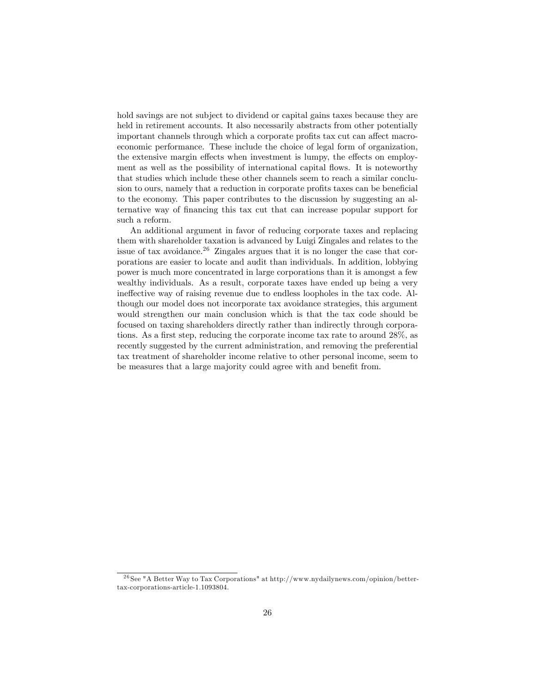hold savings are not subject to dividend or capital gains taxes because they are held in retirement accounts. It also necessarily abstracts from other potentially important channels through which a corporate profits tax cut can affect macroeconomic performance. These include the choice of legal form of organization, the extensive margin effects when investment is lumpy, the effects on employment as well as the possibility of international capital flows. It is noteworthy that studies which include these other channels seem to reach a similar conclusion to ours, namely that a reduction in corporate profits taxes can be beneficial to the economy. This paper contributes to the discussion by suggesting an alternative way of Önancing this tax cut that can increase popular support for such a reform.

An additional argument in favor of reducing corporate taxes and replacing them with shareholder taxation is advanced by Luigi Zingales and relates to the issue of tax avoidance.<sup>26</sup> Zingales argues that it is no longer the case that corporations are easier to locate and audit than individuals. In addition, lobbying power is much more concentrated in large corporations than it is amongst a few wealthy individuals. As a result, corporate taxes have ended up being a very ineffective way of raising revenue due to endless loopholes in the tax code. Although our model does not incorporate tax avoidance strategies, this argument would strengthen our main conclusion which is that the tax code should be focused on taxing shareholders directly rather than indirectly through corporations. As a first step, reducing the corporate income tax rate to around 28%, as recently suggested by the current administration, and removing the preferential tax treatment of shareholder income relative to other personal income, seem to be measures that a large majority could agree with and benefit from.

<sup>2 6</sup> See "A Better Way to Tax Corporations" at http://www.nydailynews.com/opinion/bettertax-corporations-article-1.1093804.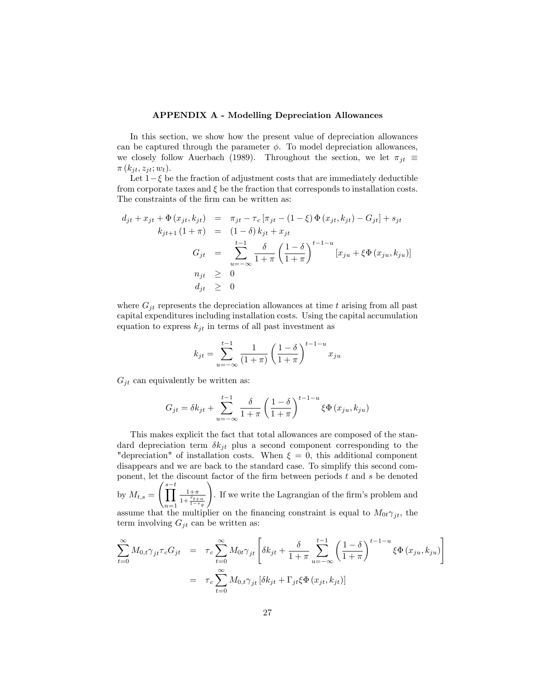#### APPENDIX A - Modelling Depreciation Allowances

In this section, we show how the present value of depreciation allowances can be captured through the parameter  $\phi$ . To model depreciation allowances, we closely follow Auerbach (1989). Throughout the section, we let  $\pi_{jt} \equiv$  $\pi(k_{jt}, z_{jt}; w_t)$ .

Let  $1-\xi$  be the fraction of adjustment costs that are immediately deductible from corporate taxes and  $\xi$  be the fraction that corresponds to installation costs. The constraints of the firm can be written as:

$$
d_{jt} + x_{jt} + \Phi(x_{jt}, k_{jt}) = \pi_{jt} - \tau_c [\pi_{jt} - (1 - \xi) \Phi(x_{jt}, k_{jt}) - G_{jt}] + s_{jt}
$$
  
\n
$$
k_{jt+1} (1 + \pi) = (1 - \delta) k_{jt} + x_{jt}
$$
  
\n
$$
G_{jt} = \sum_{u = -\infty}^{t-1} \frac{\delta}{1 + \pi} \left(\frac{1 - \delta}{1 + \pi}\right)^{t-1-u} [x_{ju} + \xi \Phi(x_{ju}, k_{ju})]
$$
  
\n
$$
n_{jt} \geq 0
$$
  
\n
$$
d_{jt} \geq 0
$$

where  $G_{jt}$  represents the depreciation allowances at time t arising from all past capital expenditures including installation costs. Using the capital accumulation equation to express  $k_{jt}$  in terms of all past investment as

$$
k_{jt} = \sum_{u = -\infty}^{t-1} \frac{1}{(1+\pi)} \left(\frac{1-\delta}{1+\pi}\right)^{t-1-u} x_{ju}
$$

 $G_{jt}$  can equivalently be written as:

$$
G_{jt} = \delta k_{jt} + \sum_{u=-\infty}^{t-1} \frac{\delta}{1+\pi} \left(\frac{1-\delta}{1+\pi}\right)^{t-1-u} \xi \Phi\left(x_{ju}, k_{ju}\right)
$$

This makes explicit the fact that total allowances are composed of the standard depreciation term  $\delta k_{it}$  plus a second component corresponding to the "depreciation" of installation costs. When  $\xi = 0$ , this additional component disappears and we are back to the standard case. To simplify this second component, let the discount factor of the firm between periods  $t$  and  $s$  be denoted by  $M_{t,s} = \left(\prod^{s-t} \right)$  $n=1$  $1+\pi$  $1+\frac{\tilde{r}_{t+n}}{1-\tau_g}$ ! . If we write the Lagrangian of the firm's problem and assume that the multiplier on the financing constraint is equal to  $M_{0t}\gamma_{jt}$ , the term involving  $G_{jt}$  can be written as:

$$
\sum_{t=0}^{\infty} M_{0,t} \gamma_{jt} \tau_c G_{jt} = \tau_c \sum_{t=0}^{\infty} M_{0t} \gamma_{jt} \left[ \delta k_{jt} + \frac{\delta}{1+\pi} \sum_{u=-\infty}^{t-1} \left( \frac{1-\delta}{1+\pi} \right)^{t-1-u} \xi \Phi(x_{ju}, k_{ju}) \right]
$$

$$
= \tau_c \sum_{t=0}^{\infty} M_{0,t} \gamma_{jt} \left[ \delta k_{jt} + \Gamma_{jt} \xi \Phi(x_{jt}, k_{jt}) \right]
$$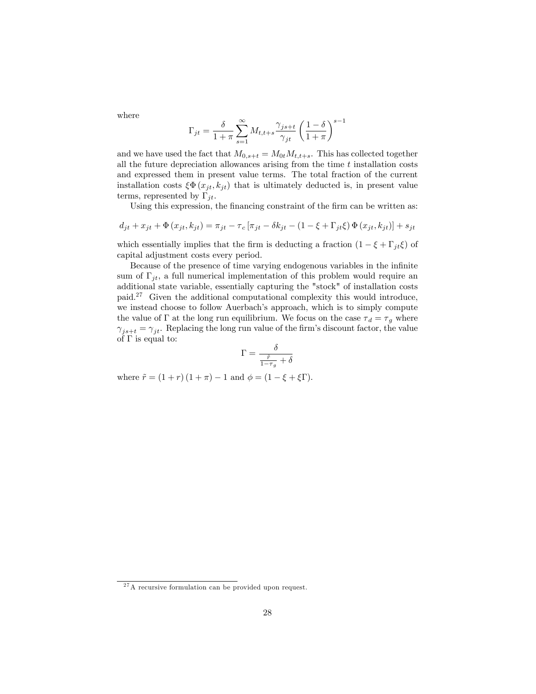where

$$
\Gamma_{jt} = \frac{\delta}{1+\pi} \sum_{s=1}^{\infty} M_{t,t+s} \frac{\gamma_{js+t}}{\gamma_{jt}} \left(\frac{1-\delta}{1+\pi}\right)^{s-1}
$$

and we have used the fact that  $M_{0,s+t} = M_{0t}M_{t,t+s}$ . This has collected together all the future depreciation allowances arising from the time  $t$  installation costs and expressed them in present value terms. The total fraction of the current installation costs  $\xi \Phi(x_{jt}, k_{jt})$  that is ultimately deducted is, in present value terms, represented by  $\Gamma_{it}$ .

Using this expression, the financing constraint of the firm can be written as:

$$
d_{jt} + x_{jt} + \Phi(x_{jt}, k_{jt}) = \pi_{jt} - \tau_c [\pi_{jt} - \delta k_{jt} - (1 - \xi + \Gamma_{jt}\xi) \Phi(x_{jt}, k_{jt})] + s_{jt}
$$

which essentially implies that the firm is deducting a fraction  $(1 - \xi + \Gamma_{it}\xi)$  of capital adjustment costs every period.

Because of the presence of time varying endogenous variables in the infinite sum of  $\Gamma_{jt}$ , a full numerical implementation of this problem would require an additional state variable, essentially capturing the "stock" of installation costs paid.<sup>27</sup> Given the additional computational complexity this would introduce, we instead choose to follow Auerbach's approach, which is to simply compute the value of  $\Gamma$  at the long run equilibrium. We focus on the case  $\tau_d = \tau_g$  where  $\gamma_{j s+t} = \gamma_{jt}$ . Replacing the long run value of the firm's discount factor, the value of  $\Gamma$  is equal to:

$$
\Gamma = \frac{\delta}{\frac{\tilde{r}}{1-\tau_g} + \delta}
$$

where  $\tilde{r} = (1 + r) (1 + \pi) - 1$  and  $\phi = (1 - \xi + \xi \Gamma)$ .

<sup>&</sup>lt;sup>27</sup>A recursive formulation can be provided upon request.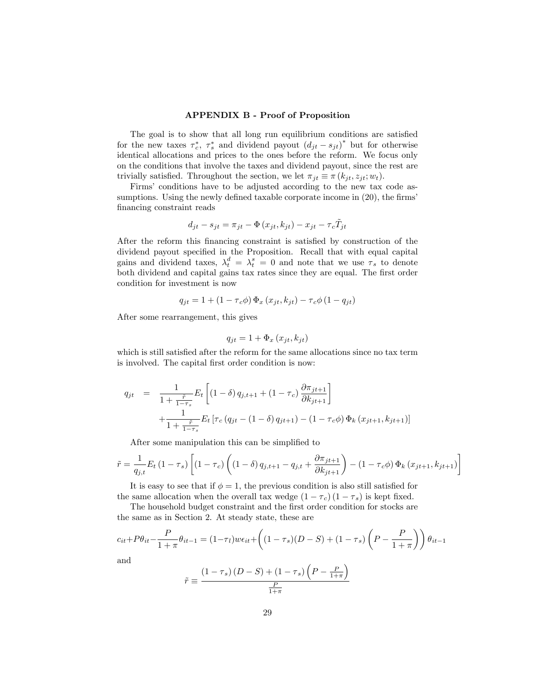#### APPENDIX B - Proof of Proposition

The goal is to show that all long run equilibrium conditions are satisfied for the new taxes  $\tau_c^*$ ,  $\tau_s^*$  and dividend payout  $(d_{jt} - s_{jt})^*$  but for otherwise identical allocations and prices to the ones before the reform. We focus only on the conditions that involve the taxes and dividend payout, since the rest are trivially satisfied. Throughout the section, we let  $\pi_{it} \equiv \pi (k_{it}, z_{it}; w_t)$ .

Firms' conditions have to be adjusted according to the new tax code assumptions. Using the newly defined taxable corporate income in  $(20)$ , the firms' financing constraint reads

$$
d_{jt} - s_{jt} = \pi_{jt} - \Phi(x_{jt}, k_{jt}) - x_{jt} - \tau_c \tilde{T}_{jt}
$$

After the reform this financing constraint is satisfied by construction of the dividend payout specified in the Proposition. Recall that with equal capital gains and dividend taxes,  $\lambda_t^d = \lambda_t^s = 0$  and note that we use  $\tau_s$  to denote both dividend and capital gains tax rates since they are equal. The first order condition for investment is now

$$
q_{jt} = 1 + (1 - \tau_c \phi) \Phi_x (x_{jt}, k_{jt}) - \tau_c \phi (1 - q_{jt})
$$

After some rearrangement, this gives

$$
q_{jt} = 1 + \Phi_x(x_{jt}, k_{jt})
$$

which is still satisfied after the reform for the same allocations since no tax term is involved. The capital first order condition is now:

$$
q_{jt} = \frac{1}{1 + \frac{\tilde{r}}{1 - \tau_s}} E_t \left[ (1 - \delta) q_{j, t+1} + (1 - \tau_c) \frac{\partial \pi_{jt+1}}{\partial k_{jt+1}} \right] + \frac{1}{1 + \frac{\tilde{r}}{1 - \tau_s}} E_t \left[ \tau_c \left( q_{jt} - (1 - \delta) q_{jt+1} \right) - (1 - \tau_c \phi) \Phi_k \left( x_{jt+1}, k_{jt+1} \right) \right]
$$

After some manipulation this can be simplified to

$$
\tilde{r} = \frac{1}{q_{j,t}} E_t (1 - \tau_s) \left[ (1 - \tau_c) \left( (1 - \delta) q_{j,t+1} - q_{j,t} + \frac{\partial \pi_{jt+1}}{\partial k_{jt+1}} \right) - (1 - \tau_c \phi) \Phi_k (x_{jt+1}, k_{jt+1}) \right]
$$

It is easy to see that if  $\phi = 1$ , the previous condition is also still satisfied for the same allocation when the overall tax wedge  $(1 - \tau_c) (1 - \tau_s)$  is kept fixed.

The household budget constraint and the first order condition for stocks are the same as in Section 2. At steady state, these are

$$
c_{it} + P\theta_{it} - \frac{P}{1+\pi}\theta_{it-1} = (1-\tau_l)w\epsilon_{it} + \left((1-\tau_s)(D-S) + (1-\tau_s)\left(P - \frac{P}{1+\pi}\right)\right)\theta_{it-1}
$$
  
and  

$$
\left((1-\tau_s)(D-S) + (1-\tau_s)\left(P - \frac{P}{1+\pi}\right)\right)
$$

and

$$
\tilde{r} \equiv \frac{\left(1 - \tau_s\right)\left(D - S\right) + \left(1 - \tau_s\right)\left(P - \frac{P}{1 + \pi}\right)}{\frac{P}{1 + \pi}}
$$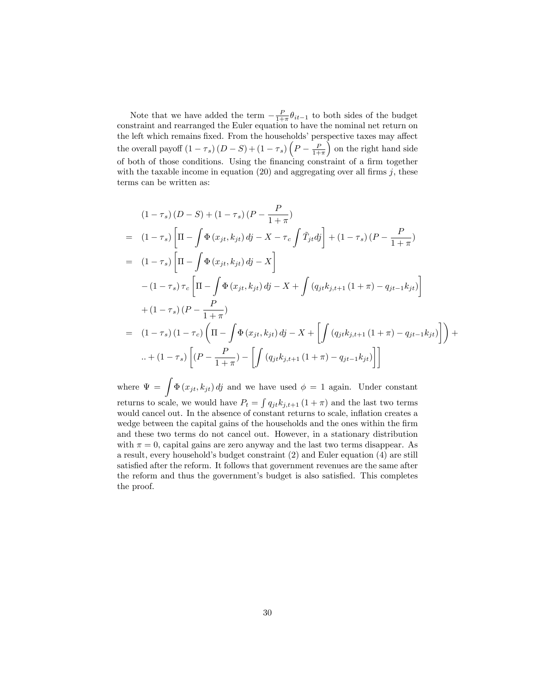Note that we have added the term  $-\frac{P}{1+\pi}\theta_{it-1}$  to both sides of the budget constraint and rearranged the Euler equation to have the nominal net return on the left which remains fixed. From the households' perspective taxes may affect the overall payoff  $(1 - \tau_s)(D - S) + (1 - \tau_s)\left(P - \frac{P}{1 + \pi}\right)$  $\int$  on the right hand side of both of those conditions. Using the financing constraint of a firm together with the taxable income in equation  $(20)$  and aggregating over all firms j, these terms can be written as:

$$
(1 - \tau_s) (D - S) + (1 - \tau_s) (P - \frac{P}{1 + \pi})
$$
  
=  $(1 - \tau_s) \left[ \Pi - \int \Phi(x_{jt}, k_{jt}) d\mathbf{j} - X - \tau_c \int \tilde{T}_{jt} d\mathbf{j} \right] + (1 - \tau_s) (P - \frac{P}{1 + \pi})$   
=  $(1 - \tau_s) \left[ \Pi - \int \Phi(x_{jt}, k_{jt}) d\mathbf{j} - X \right]$   
 $- (1 - \tau_s) \tau_c \left[ \Pi - \int \Phi(x_{jt}, k_{jt}) d\mathbf{j} - X + \int (q_{jt} k_{j, t+1} (1 + \pi) - q_{jt-1} k_{jt}) \right]$   
 $+ (1 - \tau_s) (P - \frac{P}{1 + \pi})$   
=  $(1 - \tau_s) (1 - \tau_c) \left( \Pi - \int \Phi(x_{jt}, k_{jt}) d\mathbf{j} - X + \left[ \int (q_{jt} k_{j, t+1} (1 + \pi) - q_{jt-1} k_{jt}) \right] \right) + ... + (1 - \tau_s) \left[ (P - \frac{P}{1 + \pi}) - \left[ \int (q_{jt} k_{j, t+1} (1 + \pi) - q_{jt-1} k_{jt}) \right] \right]$ 

where  $\Psi = \int \Phi(x_{jt}, k_{jt}) d\theta$  and we have used  $\phi = 1$  again. Under constant returns to scale, we would have  $P_t = \int q_{jt} k_{j,t+1} (1 + \pi)$  and the last two terms would cancel out. In the absence of constant returns to scale, inflation creates a wedge between the capital gains of the households and the ones within the firm and these two terms do not cancel out. However, in a stationary distribution with  $\pi = 0$ , capital gains are zero anyway and the last two terms disappear. As a result, every householdís budget constraint (2) and Euler equation (4) are still satisfied after the reform. It follows that government revenues are the same after the reform and thus the government's budget is also satisfied. This completes the proof.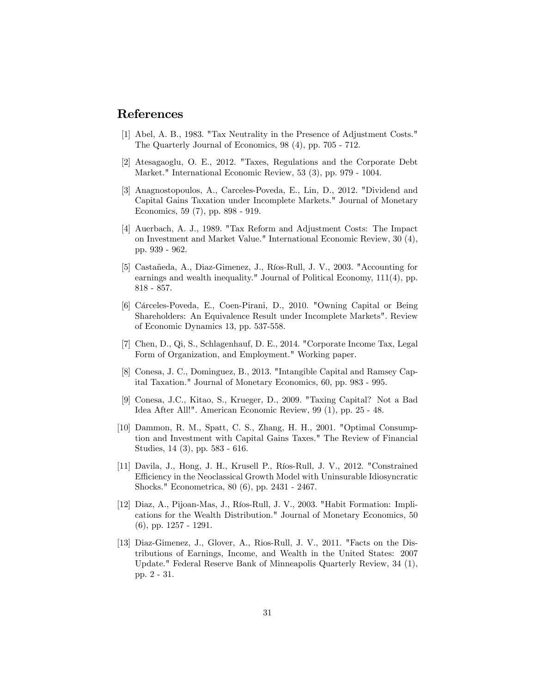# References

- [1] Abel, A. B., 1983. "Tax Neutrality in the Presence of Adjustment Costs." The Quarterly Journal of Economics, 98 (4), pp. 705 - 712.
- [2] Atesagaoglu, O. E., 2012. "Taxes, Regulations and the Corporate Debt Market." International Economic Review, 53 (3), pp. 979 - 1004.
- [3] Anagnostopoulos, A., Carceles-Poveda, E., Lin, D., 2012. "Dividend and Capital Gains Taxation under Incomplete Markets." Journal of Monetary Economics, 59 (7), pp. 898 - 919.
- [4] Auerbach, A. J., 1989. "Tax Reform and Adjustment Costs: The Impact on Investment and Market Value." International Economic Review, 30 (4), pp. 939 - 962.
- [5] Castañeda, A., Diaz-Gimenez, J., Ríos-Rull, J. V., 2003. "Accounting for earnings and wealth inequality." Journal of Political Economy, 111(4), pp. 818 - 857.
- [6] Cárceles-Poveda, E., Coen-Pirani, D., 2010. "Owning Capital or Being Shareholders: An Equivalence Result under Incomplete Markets". Review of Economic Dynamics 13, pp. 537-558.
- [7] Chen, D., Qi, S., Schlagenhauf, D. E., 2014. "Corporate Income Tax, Legal Form of Organization, and Employment." Working paper.
- [8] Conesa, J. C., Dominguez, B., 2013. "Intangible Capital and Ramsey Capital Taxation." Journal of Monetary Economics, 60, pp. 983 - 995.
- [9] Conesa, J.C., Kitao, S., Krueger, D., 2009. "Taxing Capital? Not a Bad Idea After All!". American Economic Review, 99 (1), pp. 25 - 48.
- [10] Dammon, R. M., Spatt, C. S., Zhang, H. H., 2001. "Optimal Consumption and Investment with Capital Gains Taxes." The Review of Financial Studies, 14 (3), pp. 583 - 616.
- [11] Davila, J., Hong, J. H., Krusell P., Ríos-Rull, J. V., 2012. "Constrained Efficiency in the Neoclassical Growth Model with Uninsurable Idiosyncratic Shocks." Econometrica, 80 (6), pp. 2431 - 2467.
- [12] Diaz, A., Pijoan-Mas, J., Ríos-Rull, J. V., 2003. "Habit Formation: Implications for the Wealth Distribution." Journal of Monetary Economics, 50 (6), pp. 1257 - 1291.
- [13] Diaz-Gimenez, J., Glover, A., Rios-Rull, J. V., 2011. "Facts on the Distributions of Earnings, Income, and Wealth in the United States: 2007 Update." Federal Reserve Bank of Minneapolis Quarterly Review, 34 (1), pp. 2 - 31.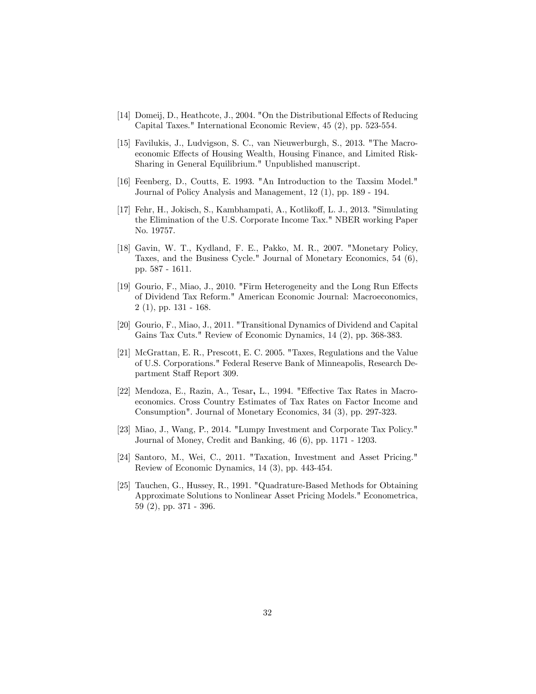- [14] Domeij, D., Heathcote, J., 2004. "On the Distributional Effects of Reducing Capital Taxes." International Economic Review, 45 (2), pp. 523-554.
- [15] Favilukis, J., Ludvigson, S. C., van Nieuwerburgh, S., 2013. "The Macroeconomic Effects of Housing Wealth, Housing Finance, and Limited Risk-Sharing in General Equilibrium." Unpublished manuscript.
- [16] Feenberg, D., Coutts, E. 1993. "An Introduction to the Taxsim Model." Journal of Policy Analysis and Management, 12 (1), pp. 189 - 194.
- [17] Fehr, H., Jokisch, S., Kambhampati, A., Kotliko§, L. J., 2013. "Simulating the Elimination of the U.S. Corporate Income Tax." NBER working Paper No. 19757.
- [18] Gavin, W. T., Kydland, F. E., Pakko, M. R., 2007. "Monetary Policy, Taxes, and the Business Cycle." Journal of Monetary Economics, 54 (6), pp. 587 - 1611.
- [19] Gourio, F., Miao, J., 2010. "Firm Heterogeneity and the Long Run Effects of Dividend Tax Reform." American Economic Journal: Macroeconomics, 2 (1), pp. 131 - 168.
- [20] Gourio, F., Miao, J., 2011. "Transitional Dynamics of Dividend and Capital Gains Tax Cuts." Review of Economic Dynamics, 14 (2), pp. 368-383.
- [21] McGrattan, E. R., Prescott, E. C. 2005. "Taxes, Regulations and the Value of U.S. Corporations." Federal Reserve Bank of Minneapolis, Research Department Staff Report 309.
- [22] Mendoza, E., Razin, A., Tesar, L., 1994. "Effective Tax Rates in Macroeconomics. Cross Country Estimates of Tax Rates on Factor Income and Consumption". Journal of Monetary Economics, 34 (3), pp. 297-323.
- [23] Miao, J., Wang, P., 2014. "Lumpy Investment and Corporate Tax Policy." Journal of Money, Credit and Banking, 46 (6), pp. 1171 - 1203.
- [24] Santoro, M., Wei, C., 2011. "Taxation, Investment and Asset Pricing." Review of Economic Dynamics, 14 (3), pp. 443-454.
- [25] Tauchen, G., Hussey, R., 1991. "Quadrature-Based Methods for Obtaining Approximate Solutions to Nonlinear Asset Pricing Models." Econometrica, 59 (2), pp. 371 - 396.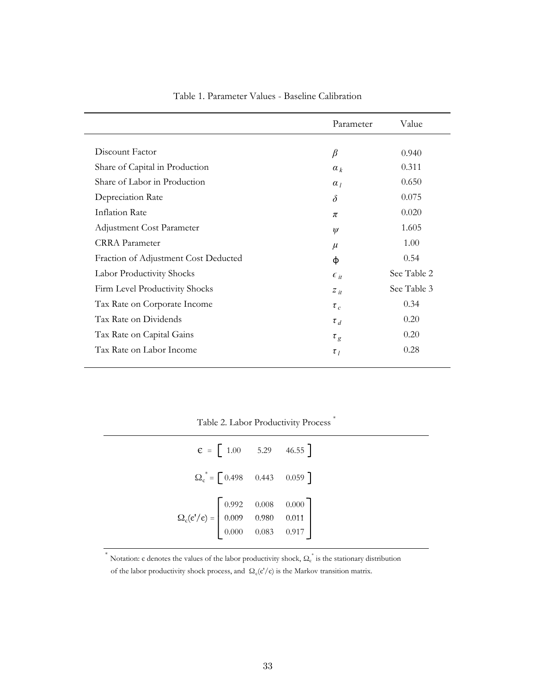|                                      | Parameter                | Value       |
|--------------------------------------|--------------------------|-------------|
|                                      |                          |             |
| Discount Factor                      | $\beta$                  | 0.940       |
| Share of Capital in Production       | $a_k$                    | 0.311       |
| Share of Labor in Production         | $\alpha_I$               | 0.650       |
| Depreciation Rate                    | $\delta$                 | 0.075       |
| <b>Inflation Rate</b>                | π                        | 0.020       |
| Adjustment Cost Parameter            | $\psi$                   | 1.605       |
| <b>CRRA</b> Parameter                | $\mu$                    | 1.00        |
| Fraction of Adjustment Cost Deducted | ф                        | 0.54        |
| Labor Productivity Shocks            | $\epsilon$ <sub>it</sub> | See Table 2 |
| Firm Level Productivity Shocks       | $Z_{it}$                 | See Table 3 |
| Tax Rate on Corporate Income         | $\tau_c$                 | 0.34        |
| Tax Rate on Dividends                | $\tau_{d}$               | 0.20        |
| Tax Rate on Capital Gains            | $\tau_g$                 | 0.20        |
| Tax Rate on Labor Income             | $\tau_l$                 | 0.28        |
|                                      |                          |             |

Table 1. Parameter Values - Baseline Calibration

Table 2. Labor Productivity Process  $*$ 

 $*$ 

| $\Omega_{\rm c}^* = \begin{bmatrix} 0.498 & 0.443 & 0.059 \end{bmatrix}$<br>$\Omega_{\rm c}({\rm c'}/\varepsilon)=\left[\begin{array}{cccc} 0.992 & 0.008 & 0.000 \\ 0.009 & 0.980 & 0.011 \\ 0.000 & 0.083 & 0.917 \end{array}\right]$ |
|-----------------------------------------------------------------------------------------------------------------------------------------------------------------------------------------------------------------------------------------|
|                                                                                                                                                                                                                                         |
|                                                                                                                                                                                                                                         |

of the labor productivity shock process, and  $\Omega_{\rm c}(\epsilon'/\epsilon)$  is the Markov transition matrix. \* Notation:  $\epsilon$  denotes the values of the labor productivity shock,  $\Omega_{\epsilon}^{*}$  is the stationary distribution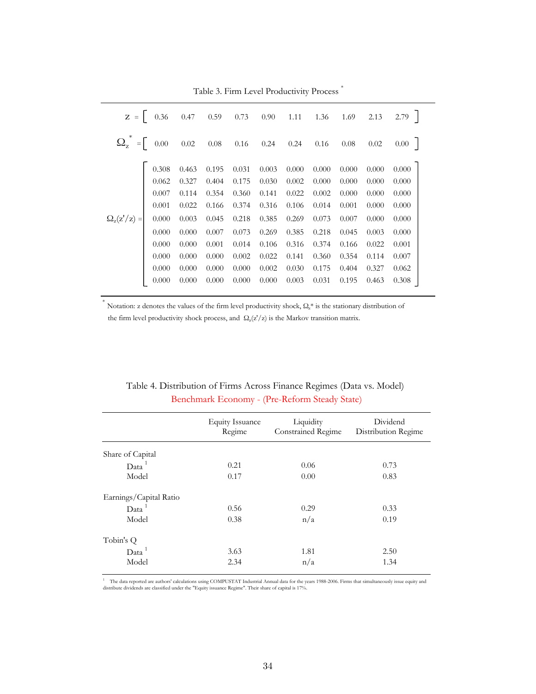|                                                              |       |           |       |       |       |       |          |       |       | $Z = \begin{bmatrix} 0.36 & 0.47 & 0.59 & 0.73 & 0.90 & 1.11 & 1.36 & 1.69 & 2.13 & 2.79 \end{bmatrix}$ |
|--------------------------------------------------------------|-------|-----------|-------|-------|-------|-------|----------|-------|-------|---------------------------------------------------------------------------------------------------------|
| $\Omega_{z}^{*} = \begin{bmatrix} 0.00 & 0.02 \end{bmatrix}$ |       |           | 0.08  | 0.16  | 0.24  | 0.24  | $0.16\,$ | 0.08  | 0.02  | 0.00                                                                                                    |
|                                                              | 0.308 | 0.463     | 0.195 | 0.031 | 0.003 | 0.000 | 0.000    | 0.000 | 0.000 | 0.000                                                                                                   |
|                                                              | 0.062 | 0.327     | 0.404 | 0.175 | 0.030 | 0.002 | 0.000    | 0.000 | 0.000 | 0.000                                                                                                   |
|                                                              | 0.007 | 0.114     | 0.354 | 0.360 | 0.141 | 0.022 | 0.002    | 0.000 | 0.000 | 0.000                                                                                                   |
|                                                              | 0.001 | 0.022     | 0.166 | 0.374 | 0.316 | 0.106 | 0.014    | 0.001 | 0.000 | 0.000                                                                                                   |
| $\Omega_{\rm z}({\rm z'}/{\rm z}) =$                         | 0.000 | 0.003     | 0.045 | 0.218 | 0.385 | 0.269 | 0.073    | 0.007 | 0.000 | 0.000                                                                                                   |
|                                                              | 0.000 | 0.000     | 0.007 | 0.073 | 0.269 | 0.385 | 0.218    | 0.045 | 0.003 | 0.000                                                                                                   |
|                                                              | 0.000 | 0.000     | 0.001 | 0.014 | 0.106 | 0.316 | 0.374    | 0.166 | 0.022 | 0.001                                                                                                   |
|                                                              | 0.000 | 0.000     | 0.000 | 0.002 | 0.022 | 0.141 | 0.360    | 0.354 | 0.114 | 0.007                                                                                                   |
|                                                              | 0.000 | $0.000\,$ | 0.000 | 0.000 | 0.002 | 0.030 | 0.175    | 0.404 | 0.327 | 0.062                                                                                                   |
|                                                              | 0.000 | 0.000     | 0.000 | 0.000 | 0.000 | 0.003 | 0.031    | 0.195 | 0.463 | 0.308                                                                                                   |

Table 3. Firm Level Productivity Process \*

Notation: z denotes the values of the firm level productivity shock,  $\Omega_z^*$  is the stationary distribution of the firm level productivity shock process, and  $\Omega_z(z'/z)$  is the Markov transition matrix.

|                        | <b>Equity Issuance</b><br>Regime | Liquidity<br>Constrained Regime | Dividend<br>Distribution Regime |
|------------------------|----------------------------------|---------------------------------|---------------------------------|
| Share of Capital       |                                  |                                 |                                 |
| Data <sup>1</sup>      | 0.21                             | 0.06                            | 0.73                            |
| Model                  | 0.17                             | 0.00                            | 0.83                            |
| Earnings/Capital Ratio |                                  |                                 |                                 |
| Data <sup>1</sup>      | 0.56                             | 0.29                            | 0.33                            |
| Model                  | 0.38                             | n/a                             | 0.19                            |
| Tobin's Q              |                                  |                                 |                                 |
| Data <sup>1</sup>      | 3.63                             | 1.81                            | 2.50                            |
| Model                  | 2.34                             | n/a                             | 1.34                            |

Benchmark Economy - (Pre-Reform Steady State) Table 4. Distribution of Firms Across Finance Regimes (Data vs. Model)

<sup>1</sup> The data reported are authors' calculations using COMPUSTAT Industrial Annual data for the years 1988-2006. Firms that simultaneously issue equity and distribute dividends are classified under the "Equity issuance Regime". Their share of capital is 17%.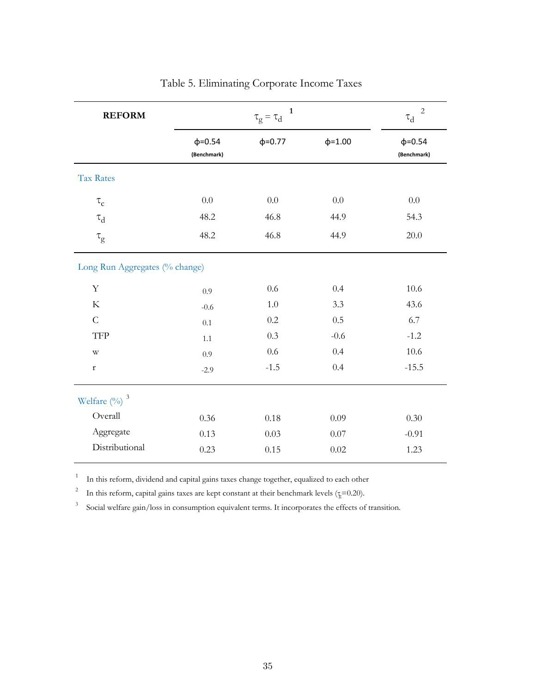| <b>REFORM</b>                        |                              | $\tau_g=\tau_d$ |               | 2<br>$\tau_{\rm d}$          |
|--------------------------------------|------------------------------|-----------------|---------------|------------------------------|
|                                      | $\phi = 0.54$<br>(Benchmark) | $\phi = 0.77$   | $\phi = 1.00$ | $\phi = 0.54$<br>(Benchmark) |
| Tax Rates                            |                              |                 |               |                              |
| $\tau_{\rm c}$                       | 0.0                          | 0.0             | 0.0           | 0.0                          |
| $\tau_d$                             | 48.2                         | 46.8            | 44.9          | 54.3                         |
| $\tau_{\rm g}$                       | 48.2                         | 46.8            | 44.9          | 20.0                         |
| Long Run Aggregates (% change)       |                              |                 |               |                              |
| $\mathbf Y$                          | 0.9                          | 0.6             | 0.4           | 10.6                         |
| $\rm K$                              | $-0.6$                       | 1.0             | 3.3           | 43.6                         |
| $\mathsf{C}$                         | 0.1                          | 0.2             | 0.5           | 6.7                          |
| TFP                                  | 1.1                          | 0.3             | $-0.6$        | $-1.2$                       |
| $\mathbf{W}$                         | 0.9                          | 0.6             | 0.4           | 10.6                         |
| r                                    | $-2.9$                       | $-1.5$          | 0.4           | $-15.5$                      |
| Welfare $\left(\frac{0}{0}\right)^3$ |                              |                 |               |                              |
| Overall                              | 0.36                         | 0.18            | 0.09          | 0.30                         |
| Aggregate                            | 0.13                         | 0.03            | 0.07          | $-0.91$                      |
| Distributional                       | 0.23                         | 0.15            | 0.02          | 1.23                         |

|  | Table 5. Eliminating Corporate Income Taxes |  |  |  |
|--|---------------------------------------------|--|--|--|
|--|---------------------------------------------|--|--|--|

1 In this reform, dividend and capital gains taxes change together, equalized to each other

2 In this reform, capital gains taxes are kept constant at their benchmark levels ( $\frac{1}{k}$ =0.20).

3 Social welfare gain/loss in consumption equivalent terms. It incorporates the effects of transition.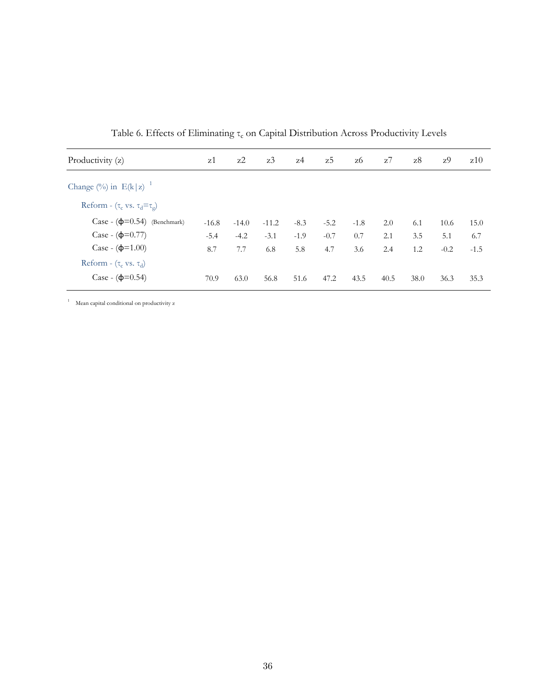| Productivity (z)                                 | z1      | $z^2$   | z3      | z4     | z5     | z6     | z7   | z8   | z9     | z10    |
|--------------------------------------------------|---------|---------|---------|--------|--------|--------|------|------|--------|--------|
| Change $(\%)$ in E(k z) <sup>1</sup>             |         |         |         |        |        |        |      |      |        |        |
| Reform - $(\tau_c \text{ vs. } \tau_d = \tau_g)$ |         |         |         |        |        |        |      |      |        |        |
| Case - $(\phi=0.54)$ (Benchmark)                 | $-16.8$ | $-14.0$ | $-11.2$ | $-8.3$ | $-5.2$ | $-1.8$ | 2.0  | 6.1  | 10.6   | 15.0   |
| Case - $(\phi=0.77)$                             | $-5.4$  | $-4.2$  | $-3.1$  | $-1.9$ | $-0.7$ | 0.7    | 2.1  | 3.5  | 5.1    | 6.7    |
| Case - $(\phi=1.00)$                             | 8.7     | 7.7     | 6.8     | 5.8    | 4.7    | 3.6    | 2.4  | 1.2  | $-0.2$ | $-1.5$ |
| Reform - $(\tau_c \text{ vs. } \tau_d)$          |         |         |         |        |        |        |      |      |        |        |
| Case - $(\phi=0.54)$                             | 70.9    | 63.0    | 56.8    | 51.6   | 47.2   | 43.5   | 40.5 | 38.0 | 36.3   | 35.3   |

Table 6. Effects of Eliminating  $\tau_c$  on Capital Distribution Across Productivity Levels

<sup>1</sup> Mean capital conditional on productivity z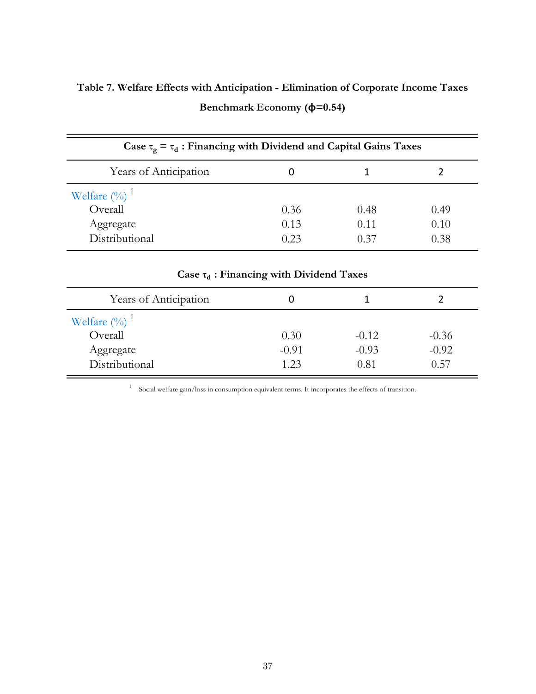| Table 7. Welfare Effects with Anticipation - Elimination of Corporate Income Taxes |  |                                 |  |  |
|------------------------------------------------------------------------------------|--|---------------------------------|--|--|
|                                                                                    |  | Benchmark Economy $(\phi=0.54)$ |  |  |

| Case $\tau_{\alpha} = \tau_d$ : Financing with Dividend and Capital Gains Taxes |      |      |      |  |  |  |  |  |
|---------------------------------------------------------------------------------|------|------|------|--|--|--|--|--|
| Years of Anticipation                                                           |      |      |      |  |  |  |  |  |
| Welfare $(\%)$ <sup>1</sup>                                                     |      |      |      |  |  |  |  |  |
| Overall                                                                         | 0.36 | 0.48 | 0.49 |  |  |  |  |  |
| Aggregate                                                                       | 0.13 | 0.11 | 0.10 |  |  |  |  |  |
| Distributional                                                                  | 0.23 | 0.37 | 0.38 |  |  |  |  |  |

| Case $\tau_d$ : Financing with Dividend Taxes                         |                         |                            |                            |  |  |  |  |  |
|-----------------------------------------------------------------------|-------------------------|----------------------------|----------------------------|--|--|--|--|--|
| Years of Anticipation                                                 |                         |                            |                            |  |  |  |  |  |
| Welfare $(\%)$ <sup>1</sup><br>Overall<br>Aggregate<br>Distributional | 0.30<br>$-0.91$<br>1.23 | $-0.12$<br>$-0.93$<br>0.81 | $-0.36$<br>$-0.92$<br>0.57 |  |  |  |  |  |

<sup>1</sup> Social welfare gain/loss in consumption equivalent terms. It incorporates the effects of transition.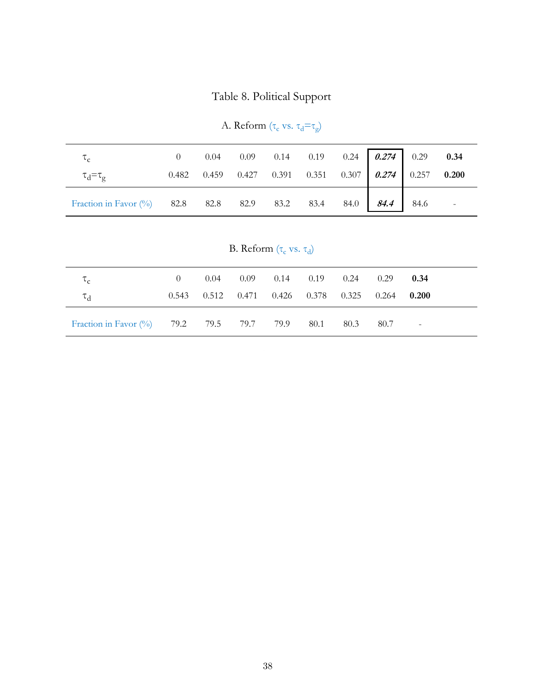# Table 8. Political Support

| $\tau_c$                                                      |  |  | 0 0.04 0.09 0.14 0.19 0.24 0.274 0.29 0.34            |  |  |
|---------------------------------------------------------------|--|--|-------------------------------------------------------|--|--|
| $\tau_{\rm d} = \tau_{\rm g}$                                 |  |  | 0.482 0.459 0.427 0.391 0.351 0.307 0.274 0.257 0.200 |  |  |
| Fraction in Favor (%) 82.8 82.8 82.9 83.2 83.4 84.0 84.4 84.6 |  |  |                                                       |  |  |

A. Reform  $(\tau_{\rm c}$  vs.  $\tau_{\rm d} \text{=}\tau_{\rm g})$ 

| B. Reform $(\tau_c$ vs. $\tau_d)$ |  |  |
|-----------------------------------|--|--|
|-----------------------------------|--|--|

| $\mathfrak{c}_c$                               |       | 0.04 | $0.09$ $0.14$ $0.19$ $0.24$             |      | 0.29          | 0.34                    |
|------------------------------------------------|-------|------|-----------------------------------------|------|---------------|-------------------------|
| $\tau_{\rm d}$                                 | 0.543 |      | $0.512$ $0.471$ $0.426$ $0.378$ $0.325$ |      | $0.264$ 0.200 |                         |
| Fraction in Favor (%) 79.2 79.5 79.7 79.9 80.1 |       |      |                                         | 80.3 | 80.7          | $\sim 100$ km s $^{-1}$ |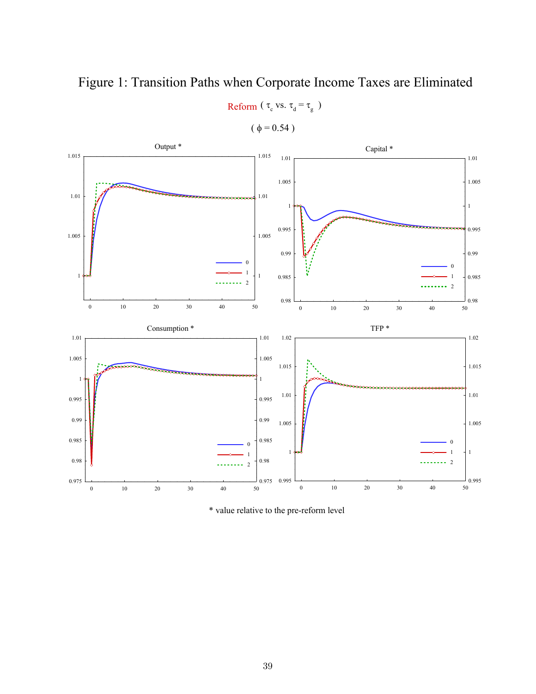

Reform ( $\tau_c$  vs.  $\tau_d = \tau_g$ )

 $(\phi = 0.54)$ 



\* value relative to the pre-reform level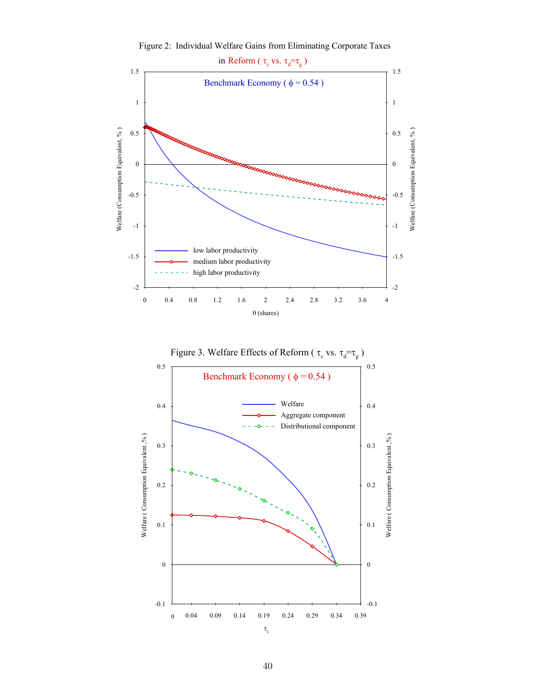

Figure 2: Individual Welfare Gains from Eliminating Corporate Taxes

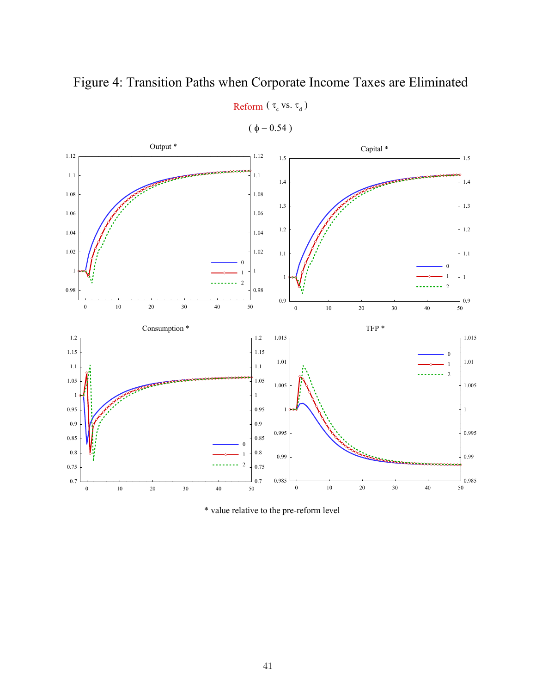

Capital \* 0 10 20 30 40 50 0.9 1 1.1 1.2 1.3 1.4 1.5  $\frac{1}{50}$  0.9 1 1.1 1.2 1.3 1.4 1.5  $\overline{0}$ 1 2 Output \* 0 10 20 30 40 50 0.98 1 1.02 1.04 1.06 1.08 1.1 1.12 0.98 1 1.02 1.04 1.06 1.08 1.1 1.12 0 1  $\overline{2}$ TFP \* 0 10 20 30 40 50 0.985 0.99 0.995 1 1.005 1.01 1.015  $\frac{1}{50}$  0.985 0.99 0.995 1 1.005 1.01 1.015 0 1  $\cdots$  2 Consumption \* 0 10 20 30 40 50 0.7 0.75 0.8 0.85 0.9 0.95 1 1.05 1.1 1.15 1.2  $\frac{1}{50}$  0.7 0.75 0.8 0.85 0.9 0.95 1 1.05 1.1 1.15 1.2 0 1  $\overline{2}$ 

Reform ( $\tau_c$  vs.  $\tau_d$ )

 $(\phi = 0.54)$ 

\* value relative to the pre-reform level